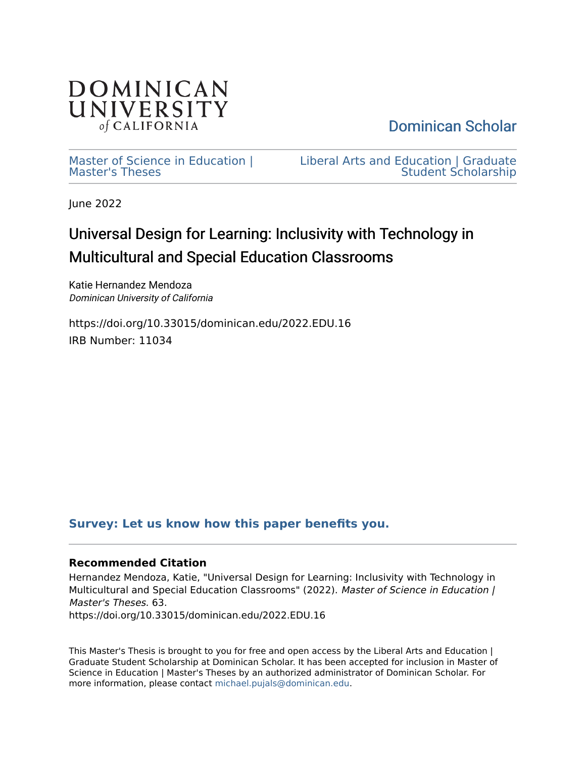

[Dominican Scholar](https://scholar.dominican.edu/) 

[Master of Science in Education |](https://scholar.dominican.edu/education-masters-theses)  [Master's Theses](https://scholar.dominican.edu/education-masters-theses) 

[Liberal Arts and Education | Graduate](https://scholar.dominican.edu/liberal-arts-and-education-graduate-programs)  [Student Scholarship](https://scholar.dominican.edu/liberal-arts-and-education-graduate-programs) 

June 2022

# Universal Design for Learning: Inclusivity with Technology in Multicultural and Special Education Classrooms

Katie Hernandez Mendoza Dominican University of California

https://doi.org/10.33015/dominican.edu/2022.EDU.16 IRB Number: 11034

## **[Survey: Let us know how this paper benefits you.](https://dominican.libwizard.com/dominican-scholar-feedback)**

## **Recommended Citation**

Hernandez Mendoza, Katie, "Universal Design for Learning: Inclusivity with Technology in Multicultural and Special Education Classrooms" (2022). Master of Science in Education | Master's Theses. 63. https://doi.org/10.33015/dominican.edu/2022.EDU.16

This Master's Thesis is brought to you for free and open access by the Liberal Arts and Education | Graduate Student Scholarship at Dominican Scholar. It has been accepted for inclusion in Master of Science in Education | Master's Theses by an authorized administrator of Dominican Scholar. For more information, please contact [michael.pujals@dominican.edu](mailto:michael.pujals@dominican.edu).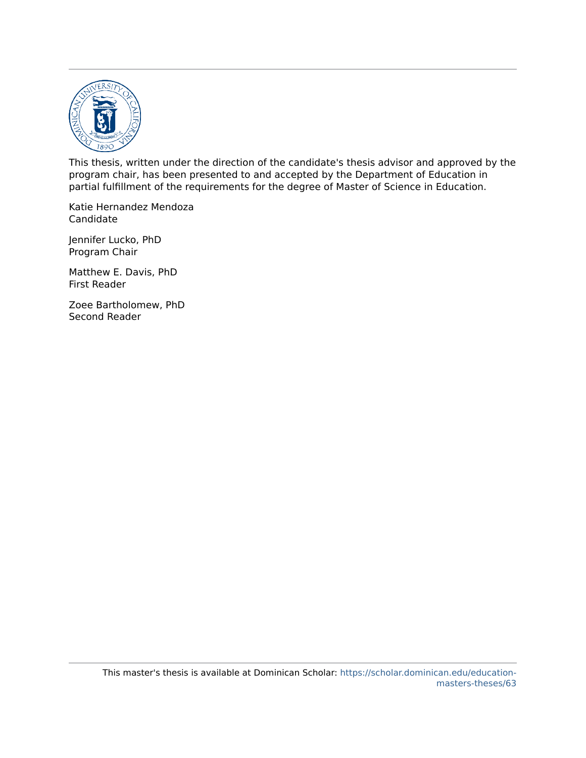

This thesis, written under the direction of the candidate's thesis advisor and approved by the program chair, has been presented to and accepted by the Department of Education in partial fulfillment of the requirements for the degree of Master of Science in Education.

Katie Hernandez Mendoza Candidate

Jennifer Lucko, PhD Program Chair

Matthew E. Davis, PhD First Reader

Zoee Bartholomew, PhD Second Reader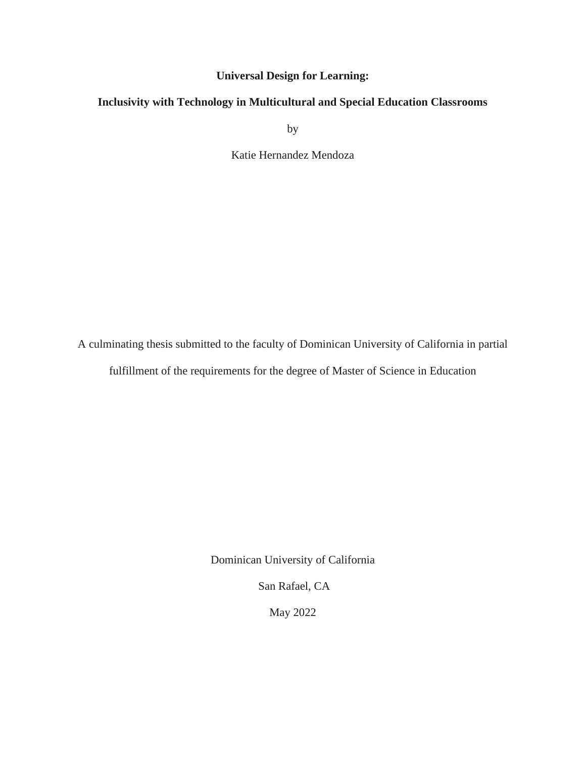## **Universal Design for Learning:**

## **Inclusivity with Technology in Multicultural and Special Education Classrooms**

by

Katie Hernandez Mendoza

A culminating thesis submitted to the faculty of Dominican University of California in partial

fulfillment of the requirements for the degree of Master of Science in Education

Dominican University of California

San Rafael, CA

May 2022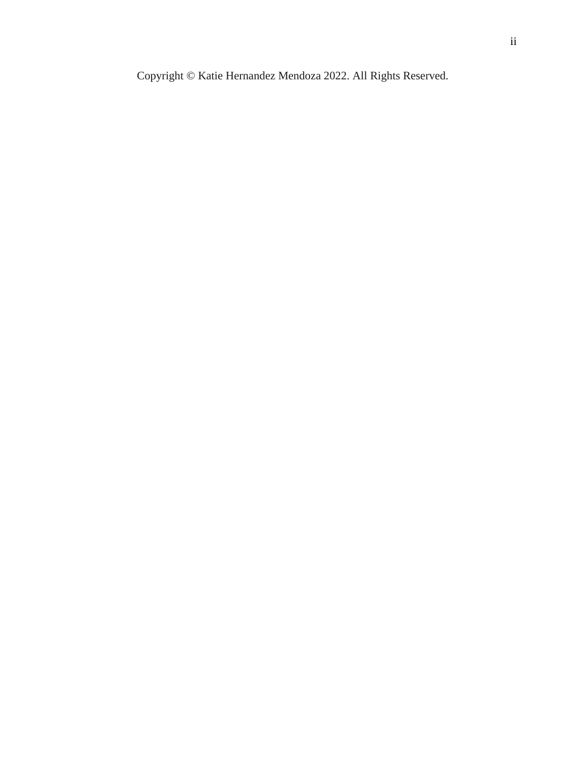Copyright © Katie Hernandez Mendoza 2022. All Rights Reserved.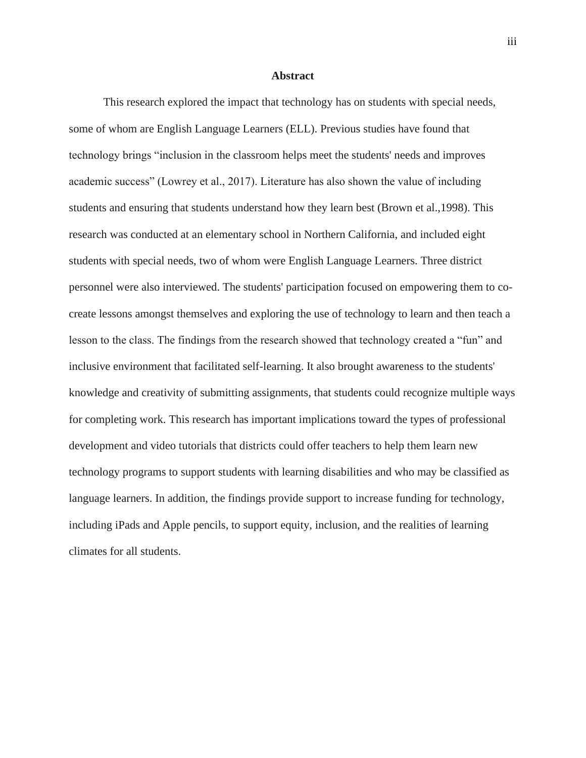### **Abstract**

<span id="page-4-0"></span>This research explored the impact that technology has on students with special needs, some of whom are English Language Learners (ELL). Previous studies have found that technology brings "inclusion in the classroom helps meet the students' needs and improves academic success" (Lowrey et al., 2017). Literature has also shown the value of including students and ensuring that students understand how they learn best (Brown et al.,1998). This research was conducted at an elementary school in Northern California, and included eight students with special needs, two of whom were English Language Learners. Three district personnel were also interviewed. The students' participation focused on empowering them to cocreate lessons amongst themselves and exploring the use of technology to learn and then teach a lesson to the class. The findings from the research showed that technology created a "fun" and inclusive environment that facilitated self-learning. It also brought awareness to the students' knowledge and creativity of submitting assignments, that students could recognize multiple ways for completing work. This research has important implications toward the types of professional development and video tutorials that districts could offer teachers to help them learn new technology programs to support students with learning disabilities and who may be classified as language learners. In addition, the findings provide support to increase funding for technology, including iPads and Apple pencils, to support equity, inclusion, and the realities of learning climates for all students.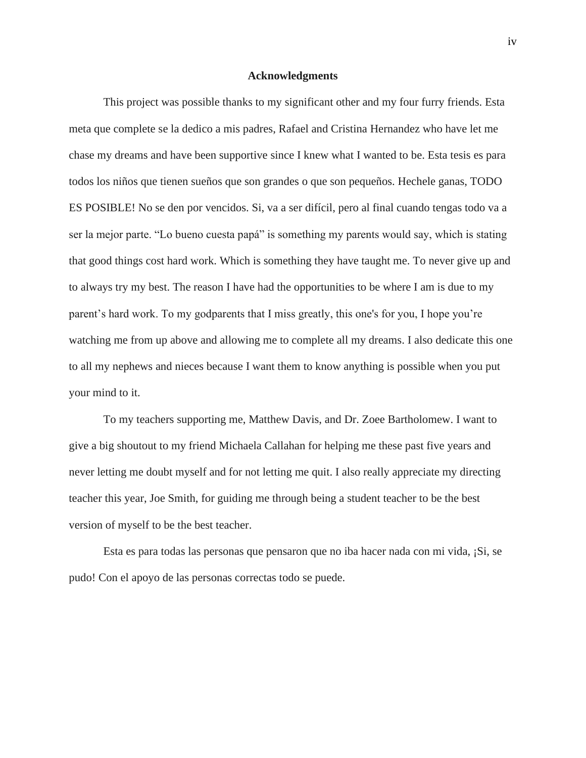#### **Acknowledgments**

<span id="page-5-0"></span>This project was possible thanks to my significant other and my four furry friends. Esta meta que complete se la dedico a mis padres, Rafael and Cristina Hernandez who have let me chase my dreams and have been supportive since I knew what I wanted to be. Esta tesis es para todos los niños que tienen sueños que son grandes o que son pequeños. Hechele ganas, TODO ES POSIBLE! No se den por vencidos. Si, va a ser difícil, pero al final cuando tengas todo va a ser la mejor parte. "Lo bueno cuesta papá" is something my parents would say, which is stating that good things cost hard work. Which is something they have taught me. To never give up and to always try my best. The reason I have had the opportunities to be where I am is due to my parent's hard work. To my godparents that I miss greatly, this one's for you, I hope you're watching me from up above and allowing me to complete all my dreams. I also dedicate this one to all my nephews and nieces because I want them to know anything is possible when you put your mind to it.

To my teachers supporting me, Matthew Davis, and Dr. Zoee Bartholomew. I want to give a big shoutout to my friend Michaela Callahan for helping me these past five years and never letting me doubt myself and for not letting me quit. I also really appreciate my directing teacher this year, Joe Smith, for guiding me through being a student teacher to be the best version of myself to be the best teacher.

Esta es para todas las personas que pensaron que no iba hacer nada con mi vida, ¡Si, se pudo! Con el apoyo de las personas correctas todo se puede.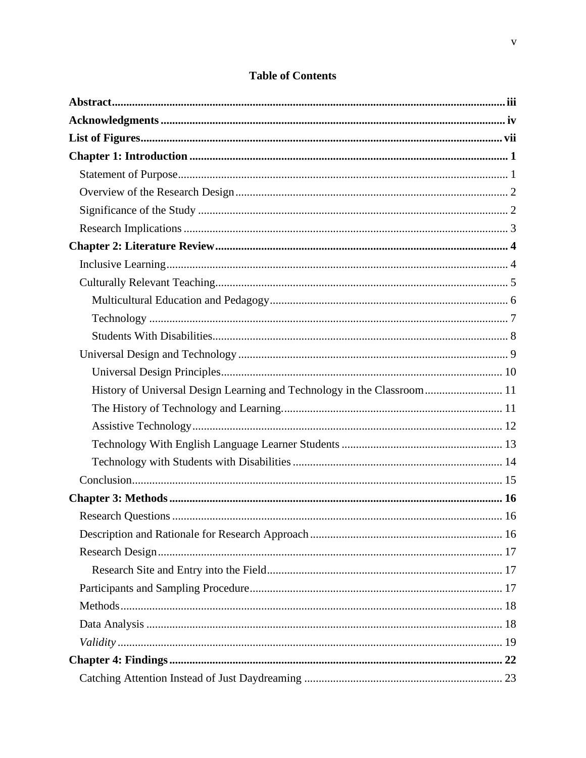| History of Universal Design Learning and Technology in the Classroom 11 |  |
|-------------------------------------------------------------------------|--|
|                                                                         |  |
|                                                                         |  |
|                                                                         |  |
|                                                                         |  |
|                                                                         |  |
|                                                                         |  |
|                                                                         |  |
|                                                                         |  |
|                                                                         |  |
|                                                                         |  |
|                                                                         |  |
|                                                                         |  |
|                                                                         |  |
|                                                                         |  |
|                                                                         |  |
|                                                                         |  |

## **Table of Contents**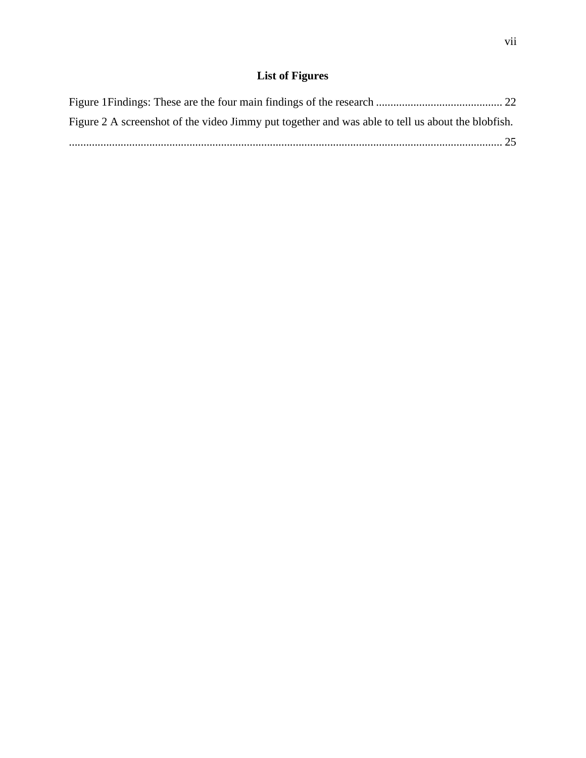## **List of Figures**

<span id="page-8-0"></span>

| Figure 2 A screenshot of the video Jimmy put together and was able to tell us about the blobfish. |  |
|---------------------------------------------------------------------------------------------------|--|
|                                                                                                   |  |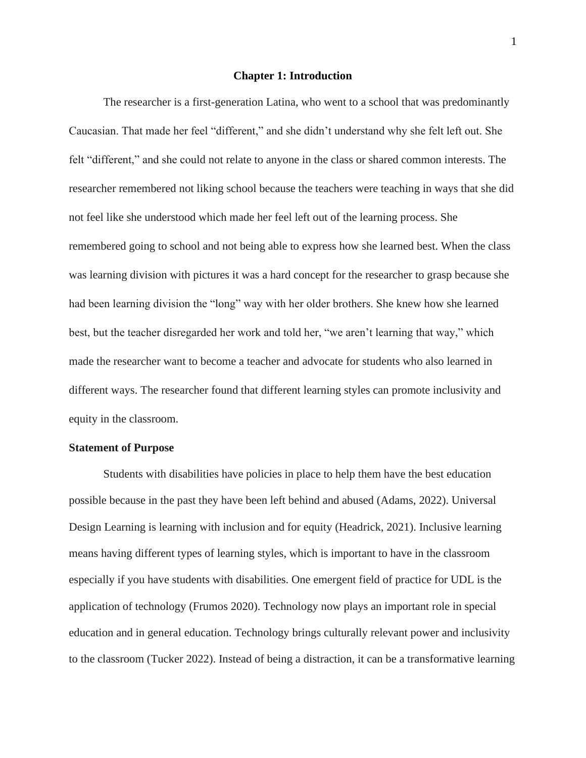### **Chapter 1: Introduction**

<span id="page-9-0"></span>The researcher is a first-generation Latina, who went to a school that was predominantly Caucasian. That made her feel "different," and she didn't understand why she felt left out. She felt "different," and she could not relate to anyone in the class or shared common interests. The researcher remembered not liking school because the teachers were teaching in ways that she did not feel like she understood which made her feel left out of the learning process. She remembered going to school and not being able to express how she learned best. When the class was learning division with pictures it was a hard concept for the researcher to grasp because she had been learning division the "long" way with her older brothers. She knew how she learned best, but the teacher disregarded her work and told her, "we aren't learning that way," which made the researcher want to become a teacher and advocate for students who also learned in different ways. The researcher found that different learning styles can promote inclusivity and equity in the classroom.

### <span id="page-9-1"></span>**Statement of Purpose**

Students with disabilities have policies in place to help them have the best education possible because in the past they have been left behind and abused (Adams, 2022). Universal Design Learning is learning with inclusion and for equity (Headrick, 2021). Inclusive learning means having different types of learning styles, which is important to have in the classroom especially if you have students with disabilities. One emergent field of practice for UDL is the application of technology (Frumos 2020). Technology now plays an important role in special education and in general education. Technology brings culturally relevant power and inclusivity to the classroom (Tucker 2022). Instead of being a distraction, it can be a transformative learning

1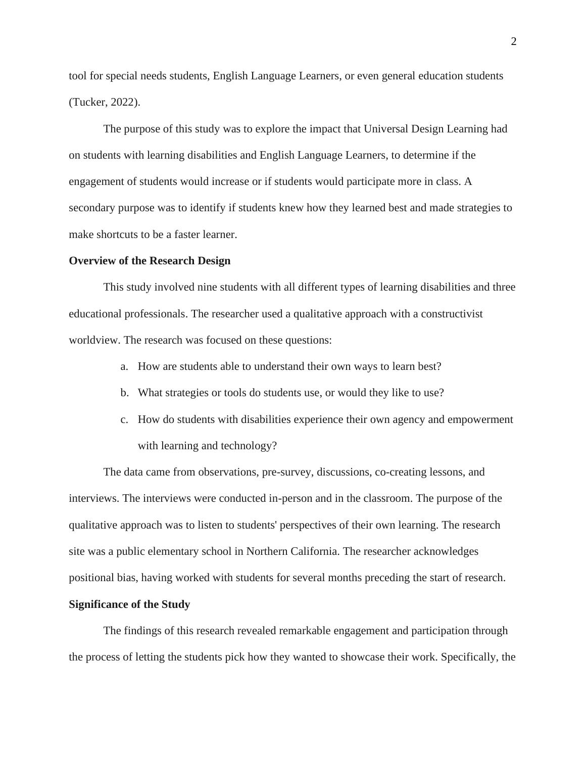tool for special needs students, English Language Learners, or even general education students (Tucker, 2022).

The purpose of this study was to explore the impact that Universal Design Learning had on students with learning disabilities and English Language Learners, to determine if the engagement of students would increase or if students would participate more in class. A secondary purpose was to identify if students knew how they learned best and made strategies to make shortcuts to be a faster learner.

#### <span id="page-10-0"></span>**Overview of the Research Design**

This study involved nine students with all different types of learning disabilities and three educational professionals. The researcher used a qualitative approach with a constructivist worldview. The research was focused on these questions:

- a. How are students able to understand their own ways to learn best?
- b. What strategies or tools do students use, or would they like to use?
- c. How do students with disabilities experience their own agency and empowerment with learning and technology?

The data came from observations, pre-survey, discussions, co-creating lessons, and interviews. The interviews were conducted in-person and in the classroom. The purpose of the qualitative approach was to listen to students' perspectives of their own learning. The research site was a public elementary school in Northern California. The researcher acknowledges positional bias, having worked with students for several months preceding the start of research.

## <span id="page-10-1"></span>**Significance of the Study**

The findings of this research revealed remarkable engagement and participation through the process of letting the students pick how they wanted to showcase their work. Specifically, the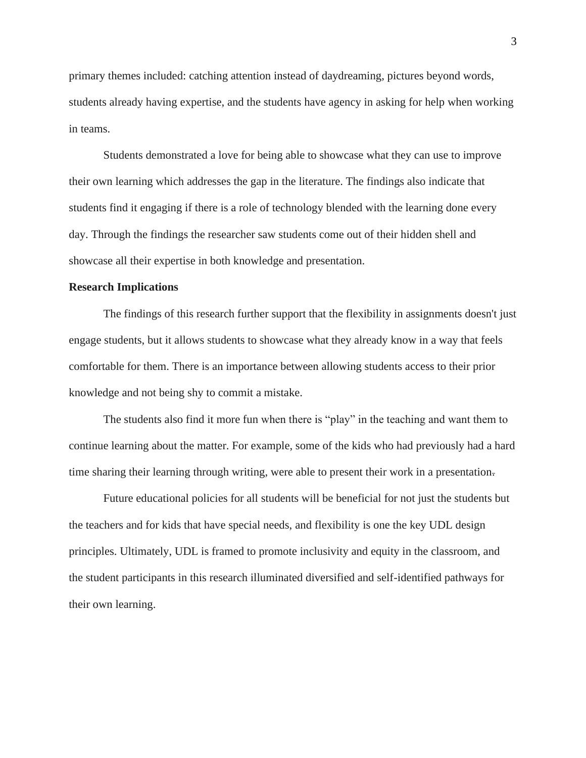primary themes included: catching attention instead of daydreaming, pictures beyond words, students already having expertise, and the students have agency in asking for help when working in teams.

Students demonstrated a love for being able to showcase what they can use to improve their own learning which addresses the gap in the literature. The findings also indicate that students find it engaging if there is a role of technology blended with the learning done every day. Through the findings the researcher saw students come out of their hidden shell and showcase all their expertise in both knowledge and presentation.

#### <span id="page-11-0"></span>**Research Implications**

The findings of this research further support that the flexibility in assignments doesn't just engage students, but it allows students to showcase what they already know in a way that feels comfortable for them. There is an importance between allowing students access to their prior knowledge and not being shy to commit a mistake.

The students also find it more fun when there is "play" in the teaching and want them to continue learning about the matter. For example, some of the kids who had previously had a hard time sharing their learning through writing, were able to present their work in a presentation-

Future educational policies for all students will be beneficial for not just the students but the teachers and for kids that have special needs, and flexibility is one the key UDL design principles. Ultimately, UDL is framed to promote inclusivity and equity in the classroom, and the student participants in this research illuminated diversified and self-identified pathways for their own learning.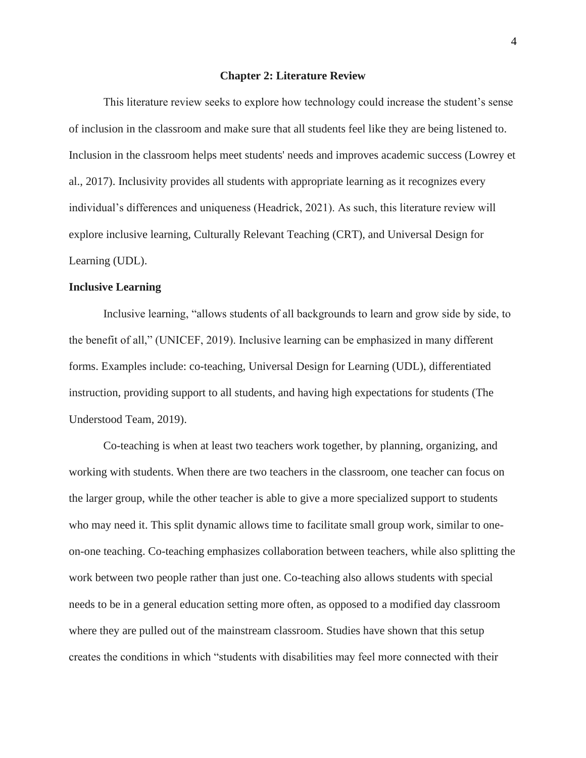#### **Chapter 2: Literature Review**

<span id="page-12-0"></span>This literature review seeks to explore how technology could increase the student's sense of inclusion in the classroom and make sure that all students feel like they are being listened to. Inclusion in the classroom helps meet students' needs and improves academic success (Lowrey et al., 2017). Inclusivity provides all students with appropriate learning as it recognizes every individual's differences and uniqueness (Headrick, 2021). As such, this literature review will explore inclusive learning, Culturally Relevant Teaching (CRT), and Universal Design for Learning (UDL).

## <span id="page-12-1"></span>**Inclusive Learning**

Inclusive learning, "allows students of all backgrounds to learn and grow side by side, to the benefit of all," (UNICEF, 2019). Inclusive learning can be emphasized in many different forms. Examples include: co-teaching, Universal Design for Learning (UDL), differentiated instruction, providing support to all students, and having high expectations for students (The Understood Team, 2019).

Co-teaching is when at least two teachers work together, by planning, organizing, and working with students. When there are two teachers in the classroom, one teacher can focus on the larger group, while the other teacher is able to give a more specialized support to students who may need it. This split dynamic allows time to facilitate small group work, similar to oneon-one teaching. Co-teaching emphasizes collaboration between teachers, while also splitting the work between two people rather than just one. Co-teaching also allows students with special needs to be in a general education setting more often, as opposed to a modified day classroom where they are pulled out of the mainstream classroom. Studies have shown that this setup creates the conditions in which "students with disabilities may feel more connected with their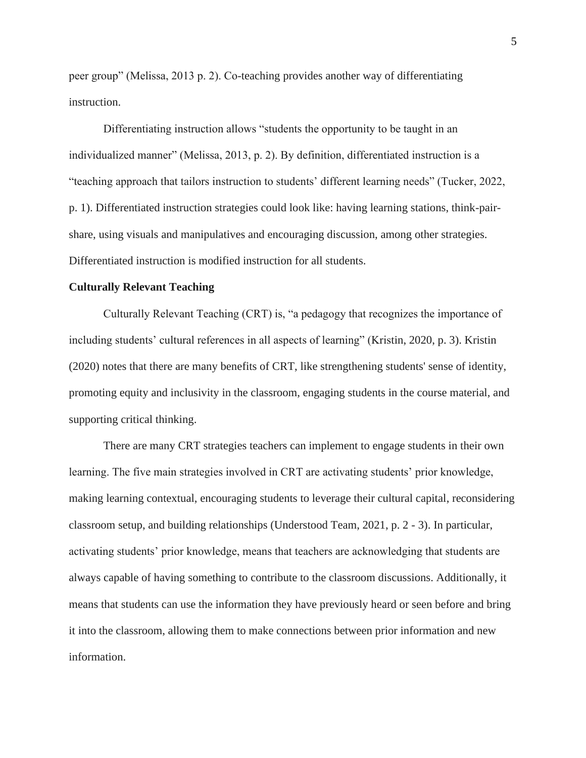peer group" (Melissa, 2013 p. 2). Co-teaching provides another way of differentiating instruction.

Differentiating instruction allows "students the opportunity to be taught in an individualized manner" (Melissa, 2013, p. 2). By definition, differentiated instruction is a "teaching approach that tailors instruction to students' different learning needs" (Tucker, 2022, p. 1). Differentiated instruction strategies could look like: having learning stations, think-pairshare, using visuals and manipulatives and encouraging discussion, among other strategies. Differentiated instruction is modified instruction for all students.

#### <span id="page-13-0"></span>**Culturally Relevant Teaching**

Culturally Relevant Teaching (CRT) is, "a pedagogy that recognizes the importance of including students' cultural references in all aspects of learning" (Kristin, 2020, p. 3). Kristin (2020) notes that there are many benefits of CRT, like strengthening students' sense of identity, promoting equity and inclusivity in the classroom, engaging students in the course material, and supporting critical thinking.

There are many CRT strategies teachers can implement to engage students in their own learning. The five main strategies involved in CRT are activating students' prior knowledge, making learning contextual, encouraging students to leverage their cultural capital, reconsidering classroom setup, and building relationships (Understood Team, 2021, p. 2 - 3). In particular, activating students' prior knowledge, means that teachers are acknowledging that students are always capable of having something to contribute to the classroom discussions. Additionally, it means that students can use the information they have previously heard or seen before and bring it into the classroom, allowing them to make connections between prior information and new information.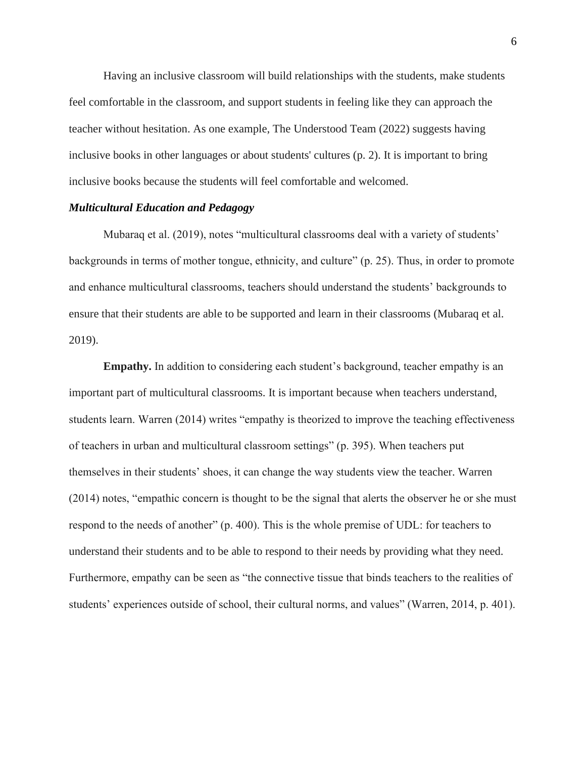Having an inclusive classroom will build relationships with the students, make students feel comfortable in the classroom, and support students in feeling like they can approach the teacher without hesitation. As one example, The Understood Team (2022) suggests having inclusive books in other languages or about students' cultures (p. 2). It is important to bring inclusive books because the students will feel comfortable and welcomed.

## <span id="page-14-0"></span>*Multicultural Education and Pedagogy*

Mubaraq et al. (2019), notes "multicultural classrooms deal with a variety of students' backgrounds in terms of mother tongue, ethnicity, and culture" (p. 25). Thus, in order to promote and enhance multicultural classrooms, teachers should understand the students' backgrounds to ensure that their students are able to be supported and learn in their classrooms (Mubaraq et al. 2019).

**Empathy.** In addition to considering each student's background, teacher empathy is an important part of multicultural classrooms. It is important because when teachers understand, students learn. Warren (2014) writes "empathy is theorized to improve the teaching effectiveness of teachers in urban and multicultural classroom settings" (p. 395). When teachers put themselves in their students' shoes, it can change the way students view the teacher. Warren (2014) notes, "empathic concern is thought to be the signal that alerts the observer he or she must respond to the needs of another" (p. 400). This is the whole premise of UDL: for teachers to understand their students and to be able to respond to their needs by providing what they need. Furthermore, empathy can be seen as "the connective tissue that binds teachers to the realities of students' experiences outside of school, their cultural norms, and values" (Warren, 2014, p. 401).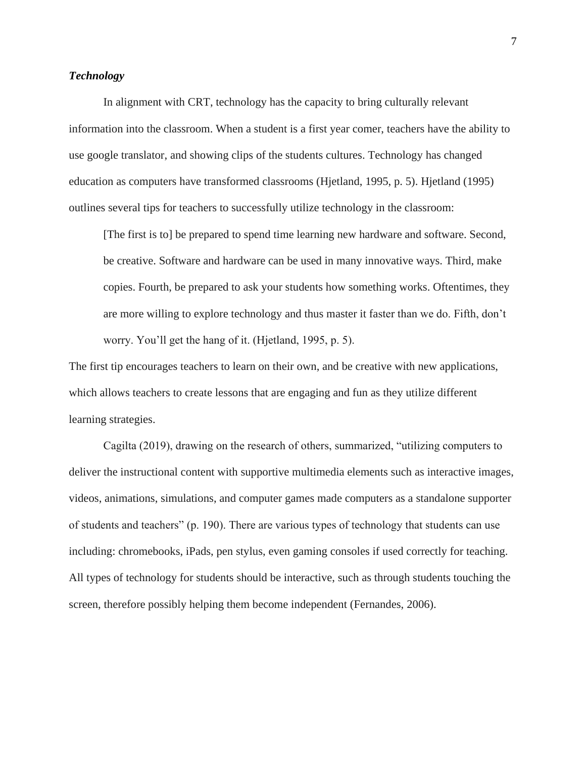## <span id="page-15-0"></span>*Technology*

In alignment with CRT, technology has the capacity to bring culturally relevant information into the classroom. When a student is a first year comer, teachers have the ability to use google translator, and showing clips of the students cultures. Technology has changed education as computers have transformed classrooms (Hjetland, 1995, p. 5). Hjetland (1995) outlines several tips for teachers to successfully utilize technology in the classroom:

[The first is to] be prepared to spend time learning new hardware and software. Second, be creative. Software and hardware can be used in many innovative ways. Third, make copies. Fourth, be prepared to ask your students how something works. Oftentimes, they are more willing to explore technology and thus master it faster than we do. Fifth, don't worry. You'll get the hang of it. (Hjetland, 1995, p. 5).

The first tip encourages teachers to learn on their own, and be creative with new applications, which allows teachers to create lessons that are engaging and fun as they utilize different learning strategies.

Cagilta (2019), drawing on the research of others, summarized, "utilizing computers to deliver the instructional content with supportive multimedia elements such as interactive images, videos, animations, simulations, and computer games made computers as a standalone supporter of students and teachers" (p. 190). There are various types of technology that students can use including: chromebooks, iPads, pen stylus, even gaming consoles if used correctly for teaching. All types of technology for students should be interactive, such as through students touching the screen, therefore possibly helping them become independent (Fernandes, 2006).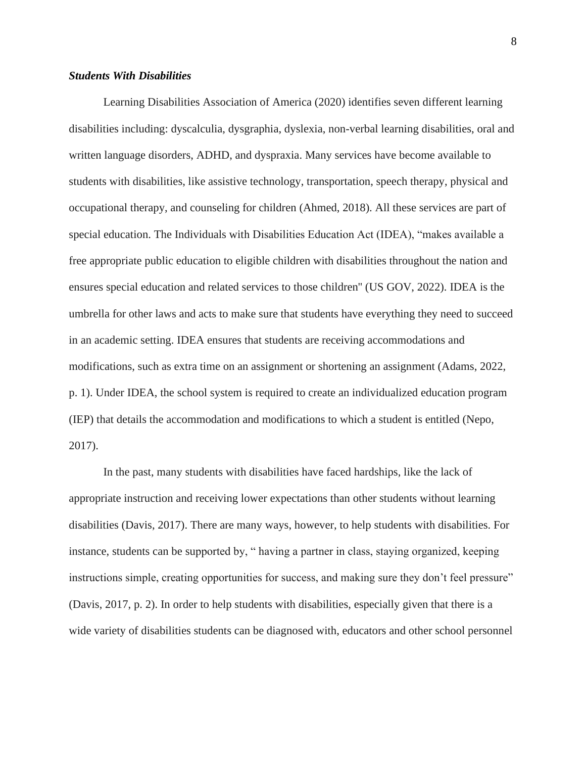## <span id="page-16-0"></span>*Students With Disabilities*

Learning Disabilities Association of America (2020) identifies seven different learning disabilities including: dyscalculia, dysgraphia, dyslexia, non-verbal learning disabilities, oral and written language disorders, ADHD, and dyspraxia. Many services have become available to students with disabilities, like assistive technology, transportation, speech therapy, physical and occupational therapy, and counseling for children (Ahmed, 2018). All these services are part of special education. The Individuals with Disabilities Education Act (IDEA), "makes available a free appropriate public education to eligible children with disabilities throughout the nation and ensures special education and related services to those children'' (US GOV, 2022). IDEA is the umbrella for other laws and acts to make sure that students have everything they need to succeed in an academic setting. IDEA ensures that students are receiving accommodations and modifications, such as extra time on an assignment or shortening an assignment (Adams, 2022, p. 1). Under IDEA, the school system is required to create an individualized education program (IEP) that details the accommodation and modifications to which a student is entitled (Nepo, 2017).

In the past, many students with disabilities have faced hardships, like the lack of appropriate instruction and receiving lower expectations than other students without learning disabilities (Davis, 2017). There are many ways, however, to help students with disabilities. For instance, students can be supported by, " having a partner in class, staying organized, keeping instructions simple, creating opportunities for success, and making sure they don't feel pressure" (Davis, 2017, p. 2). In order to help students with disabilities, especially given that there is a wide variety of disabilities students can be diagnosed with, educators and other school personnel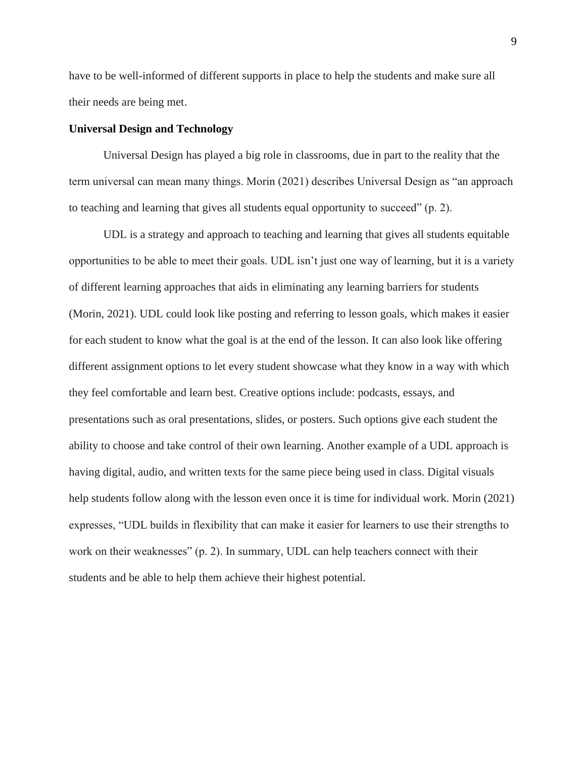have to be well-informed of different supports in place to help the students and make sure all their needs are being met.

## <span id="page-17-0"></span>**Universal Design and Technology**

Universal Design has played a big role in classrooms, due in part to the reality that the term universal can mean many things. Morin (2021) describes Universal Design as "an approach to teaching and learning that gives all students equal opportunity to succeed" (p. 2).

UDL is a strategy and approach to teaching and learning that gives all students equitable opportunities to be able to meet their goals. UDL isn't just one way of learning, but it is a variety of different learning approaches that aids in eliminating any learning barriers for students (Morin, 2021). UDL could look like posting and referring to lesson goals, which makes it easier for each student to know what the goal is at the end of the lesson. It can also look like offering different assignment options to let every student showcase what they know in a way with which they feel comfortable and learn best. Creative options include: podcasts, essays, and presentations such as oral presentations, slides, or posters. Such options give each student the ability to choose and take control of their own learning. Another example of a UDL approach is having digital, audio, and written texts for the same piece being used in class. Digital visuals help students follow along with the lesson even once it is time for individual work. Morin (2021) expresses, "UDL builds in flexibility that can make it easier for learners to use their strengths to work on their weaknesses" (p. 2). In summary, UDL can help teachers connect with their students and be able to help them achieve their highest potential.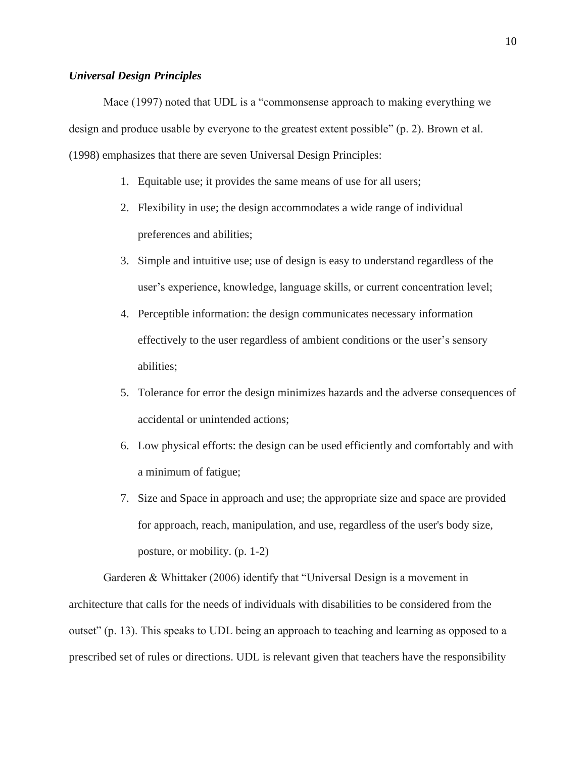### <span id="page-18-0"></span>*Universal Design Principles*

Mace (1997) noted that UDL is a "commonsense approach to making everything we design and produce usable by everyone to the greatest extent possible" (p. 2). Brown et al. (1998) emphasizes that there are seven Universal Design Principles:

- 1. Equitable use; it provides the same means of use for all users;
- 2. Flexibility in use; the design accommodates a wide range of individual preferences and abilities;
- 3. Simple and intuitive use; use of design is easy to understand regardless of the user's experience, knowledge, language skills, or current concentration level;
- 4. Perceptible information: the design communicates necessary information effectively to the user regardless of ambient conditions or the user's sensory abilities;
- 5. Tolerance for error the design minimizes hazards and the adverse consequences of accidental or unintended actions;
- 6. Low physical efforts: the design can be used efficiently and comfortably and with a minimum of fatigue;
- 7. Size and Space in approach and use; the appropriate size and space are provided for approach, reach, manipulation, and use, regardless of the user's body size, posture, or mobility. (p. 1-2)

Garderen & Whittaker (2006) identify that "Universal Design is a movement in architecture that calls for the needs of individuals with disabilities to be considered from the outset" (p. 13). This speaks to UDL being an approach to teaching and learning as opposed to a prescribed set of rules or directions. UDL is relevant given that teachers have the responsibility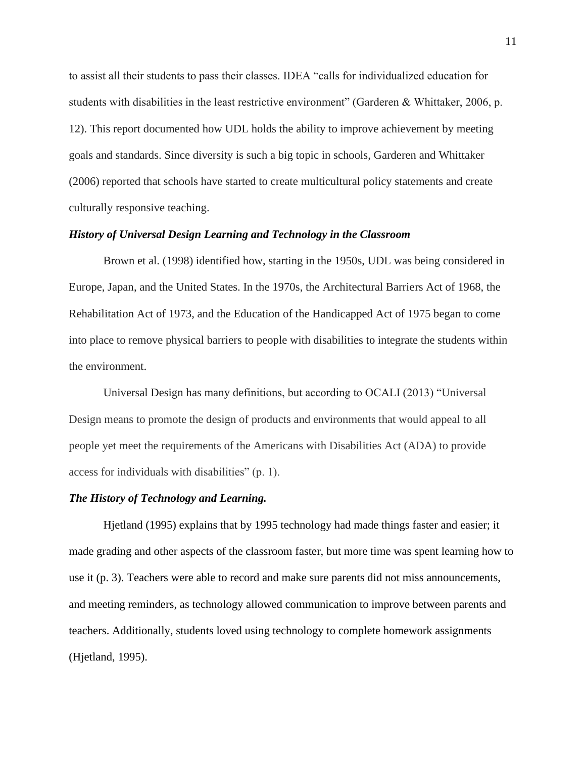to assist all their students to pass their classes. IDEA "calls for individualized education for students with disabilities in the least restrictive environment" (Garderen & Whittaker, 2006, p. 12). This report documented how UDL holds the ability to improve achievement by meeting goals and standards. Since diversity is such a big topic in schools, Garderen and Whittaker (2006) reported that schools have started to create multicultural policy statements and create culturally responsive teaching.

### <span id="page-19-0"></span>*History of Universal Design Learning and Technology in the Classroom*

Brown et al. (1998) identified how, starting in the 1950s, UDL was being considered in Europe, Japan, and the United States. In the 1970s, the Architectural Barriers Act of 1968, the Rehabilitation Act of 1973, and the Education of the Handicapped Act of 1975 began to come into place to remove physical barriers to people with disabilities to integrate the students within the environment.

Universal Design has many definitions, but according to OCALI (2013) "Universal Design means to promote the design of products and environments that would appeal to all people yet meet the requirements of the Americans with Disabilities Act (ADA) to provide access for individuals with disabilities" (p. 1).

## <span id="page-19-1"></span>*The History of Technology and Learning.*

Hjetland (1995) explains that by 1995 technology had made things faster and easier; it made grading and other aspects of the classroom faster, but more time was spent learning how to use it (p. 3). Teachers were able to record and make sure parents did not miss announcements, and meeting reminders, as technology allowed communication to improve between parents and teachers. Additionally, students loved using technology to complete homework assignments (Hjetland, 1995).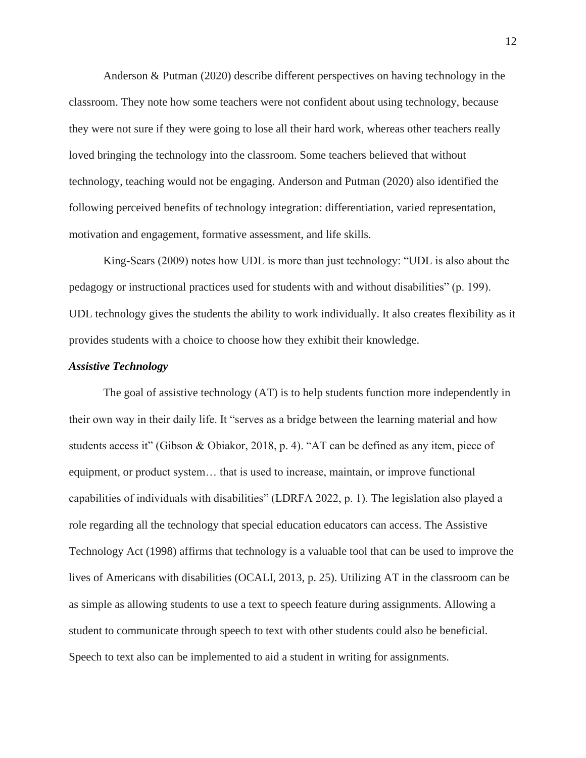Anderson & Putman (2020) describe different perspectives on having technology in the classroom. They note how some teachers were not confident about using technology, because they were not sure if they were going to lose all their hard work, whereas other teachers really loved bringing the technology into the classroom. Some teachers believed that without technology, teaching would not be engaging. Anderson and Putman (2020) also identified the following perceived benefits of technology integration: differentiation, varied representation, motivation and engagement, formative assessment, and life skills.

King-Sears (2009) notes how UDL is more than just technology: "UDL is also about the pedagogy or instructional practices used for students with and without disabilities" (p. 199). UDL technology gives the students the ability to work individually. It also creates flexibility as it provides students with a choice to choose how they exhibit their knowledge.

#### <span id="page-20-0"></span>*Assistive Technology*

The goal of assistive technology (AT) is to help students function more independently in their own way in their daily life. It "serves as a bridge between the learning material and how students access it" (Gibson & Obiakor, 2018, p. 4). "AT can be defined as any item, piece of equipment, or product system… that is used to increase, maintain, or improve functional capabilities of individuals with disabilities" (LDRFA 2022, p. 1). The legislation also played a role regarding all the technology that special education educators can access. The Assistive Technology Act (1998) affirms that technology is a valuable tool that can be used to improve the lives of Americans with disabilities (OCALI, 2013, p. 25). Utilizing AT in the classroom can be as simple as allowing students to use a text to speech feature during assignments. Allowing a student to communicate through speech to text with other students could also be beneficial. Speech to text also can be implemented to aid a student in writing for assignments.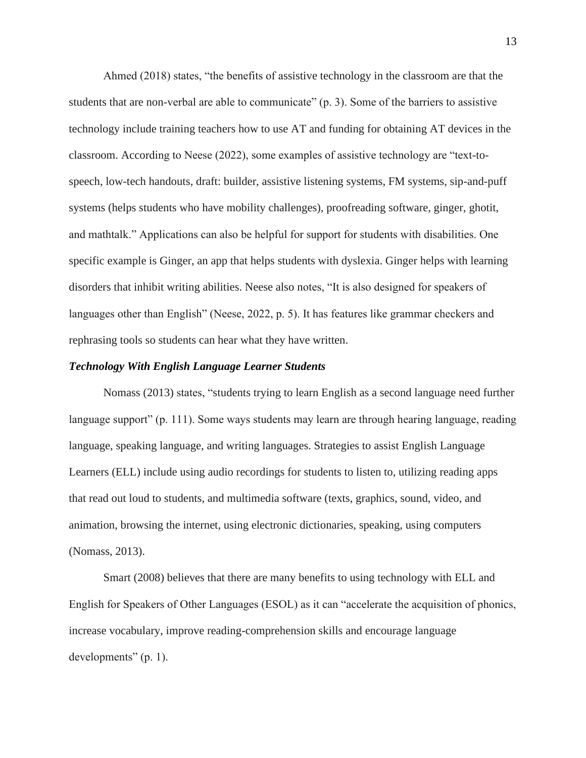Ahmed (2018) states, "the benefits of assistive technology in the classroom are that the students that are non-verbal are able to communicate" (p. 3). Some of the barriers to assistive technology include training teachers how to use AT and funding for obtaining AT devices in the classroom. According to Neese (2022), some examples of assistive technology are "text-tospeech, low-tech handouts, draft: builder, assistive listening systems, FM systems, sip-and-puff systems (helps students who have mobility challenges), proofreading software, ginger, ghotit, and mathtalk." Applications can also be helpful for support for students with disabilities. One specific example is Ginger, an app that helps students with dyslexia. Ginger helps with learning disorders that inhibit writing abilities. Neese also notes, "It is also designed for speakers of languages other than English" (Neese, 2022, p. 5). It has features like grammar checkers and rephrasing tools so students can hear what they have written.

### <span id="page-21-0"></span>*Technology With English Language Learner Students*

Nomass (2013) states, "students trying to learn English as a second language need further language support" (p. 111). Some ways students may learn are through hearing language, reading language, speaking language, and writing languages. Strategies to assist English Language Learners (ELL) include using audio recordings for students to listen to, utilizing reading apps that read out loud to students, and multimedia software (texts, graphics, sound, video, and animation, browsing the internet, using electronic dictionaries, speaking, using computers (Nomass, 2013).

Smart (2008) believes that there are many benefits to using technology with ELL and English for Speakers of Other Languages (ESOL) as it can "accelerate the acquisition of phonics, increase vocabulary, improve reading-comprehension skills and encourage language developments" (p. 1).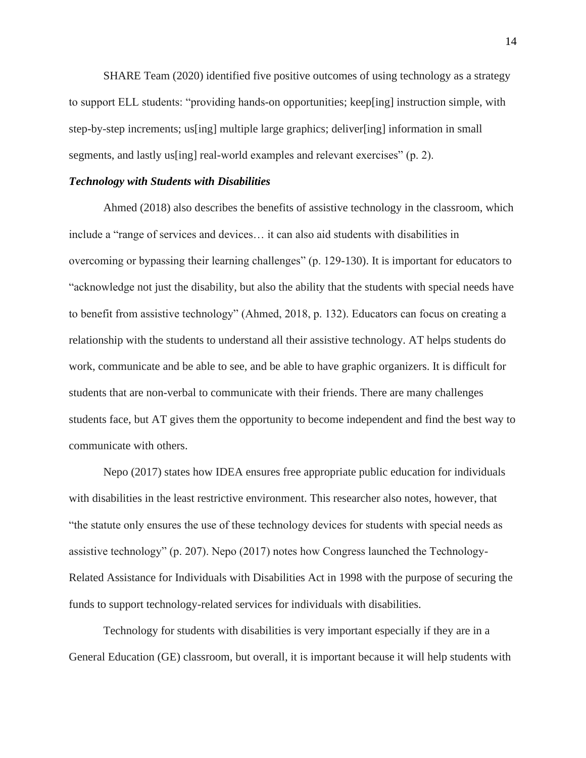SHARE Team (2020) identified five positive outcomes of using technology as a strategy to support ELL students: "providing hands-on opportunities; keep[ing] instruction simple, with step-by-step increments; us[ing] multiple large graphics; deliver[ing] information in small segments, and lastly us [ing] real-world examples and relevant exercises" (p. 2).

## <span id="page-22-0"></span>*Technology with Students with Disabilities*

Ahmed (2018) also describes the benefits of assistive technology in the classroom, which include a "range of services and devices… it can also aid students with disabilities in overcoming or bypassing their learning challenges" (p. 129-130). It is important for educators to "acknowledge not just the disability, but also the ability that the students with special needs have to benefit from assistive technology" (Ahmed, 2018, p. 132). Educators can focus on creating a relationship with the students to understand all their assistive technology. AT helps students do work, communicate and be able to see, and be able to have graphic organizers. It is difficult for students that are non-verbal to communicate with their friends. There are many challenges students face, but AT gives them the opportunity to become independent and find the best way to communicate with others.

Nepo (2017) states how IDEA ensures free appropriate public education for individuals with disabilities in the least restrictive environment. This researcher also notes, however, that "the statute only ensures the use of these technology devices for students with special needs as assistive technology" (p. 207). Nepo (2017) notes how Congress launched the Technology-Related Assistance for Individuals with Disabilities Act in 1998 with the purpose of securing the funds to support technology-related services for individuals with disabilities.

Technology for students with disabilities is very important especially if they are in a General Education (GE) classroom, but overall, it is important because it will help students with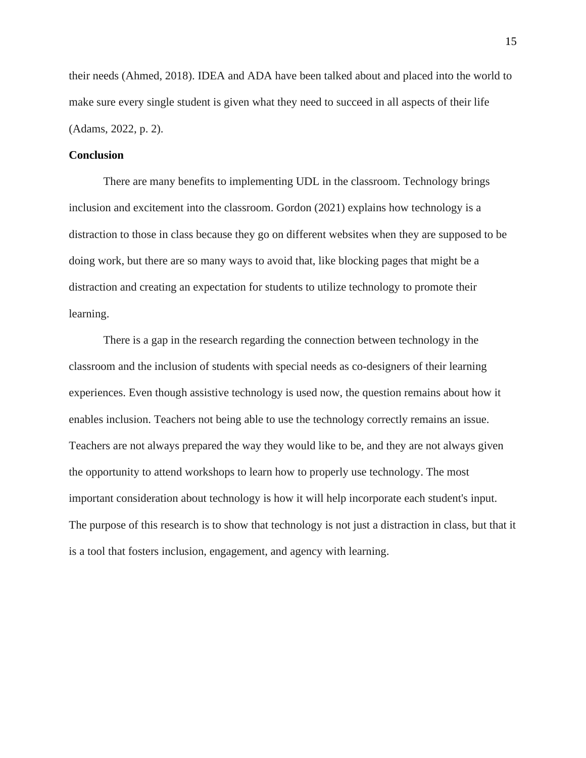their needs (Ahmed, 2018). IDEA and ADA have been talked about and placed into the world to make sure every single student is given what they need to succeed in all aspects of their life (Adams, 2022, p. 2).

## <span id="page-23-0"></span>**Conclusion**

There are many benefits to implementing UDL in the classroom. Technology brings inclusion and excitement into the classroom. Gordon (2021) explains how technology is a distraction to those in class because they go on different websites when they are supposed to be doing work, but there are so many ways to avoid that, like blocking pages that might be a distraction and creating an expectation for students to utilize technology to promote their learning.

There is a gap in the research regarding the connection between technology in the classroom and the inclusion of students with special needs as co-designers of their learning experiences. Even though assistive technology is used now, the question remains about how it enables inclusion. Teachers not being able to use the technology correctly remains an issue. Teachers are not always prepared the way they would like to be, and they are not always given the opportunity to attend workshops to learn how to properly use technology. The most important consideration about technology is how it will help incorporate each student's input. The purpose of this research is to show that technology is not just a distraction in class, but that it is a tool that fosters inclusion, engagement, and agency with learning.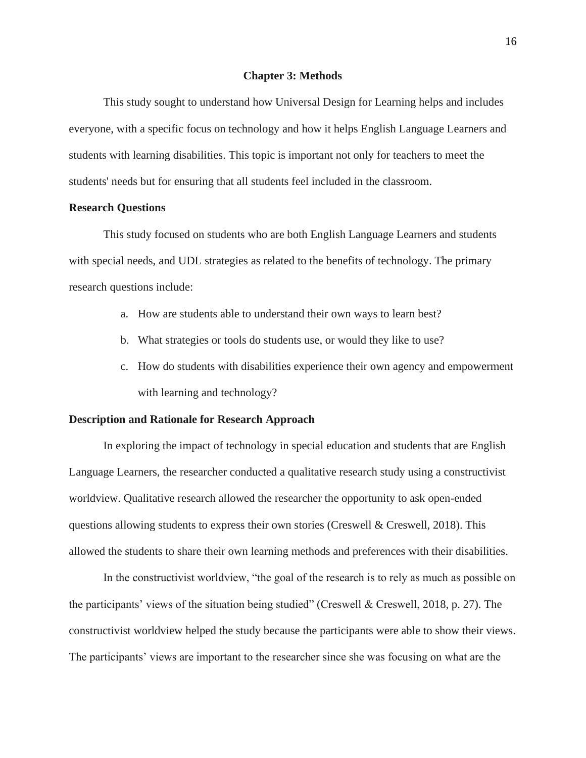#### **Chapter 3: Methods**

<span id="page-24-0"></span>This study sought to understand how Universal Design for Learning helps and includes everyone, with a specific focus on technology and how it helps English Language Learners and students with learning disabilities. This topic is important not only for teachers to meet the students' needs but for ensuring that all students feel included in the classroom.

## <span id="page-24-1"></span>**Research Questions**

This study focused on students who are both English Language Learners and students with special needs, and UDL strategies as related to the benefits of technology. The primary research questions include:

- a. How are students able to understand their own ways to learn best?
- b. What strategies or tools do students use, or would they like to use?
- c. How do students with disabilities experience their own agency and empowerment with learning and technology?

#### <span id="page-24-2"></span>**Description and Rationale for Research Approach**

In exploring the impact of technology in special education and students that are English Language Learners, the researcher conducted a qualitative research study using a constructivist worldview. Qualitative research allowed the researcher the opportunity to ask open-ended questions allowing students to express their own stories (Creswell & Creswell, 2018). This allowed the students to share their own learning methods and preferences with their disabilities.

In the constructivist worldview, "the goal of the research is to rely as much as possible on the participants' views of the situation being studied" (Creswell & Creswell, 2018, p. 27). The constructivist worldview helped the study because the participants were able to show their views. The participants' views are important to the researcher since she was focusing on what are the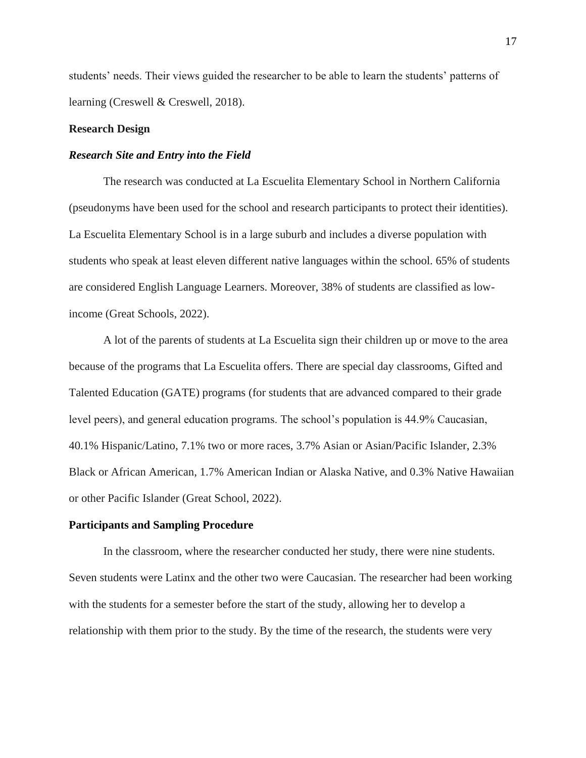students' needs. Their views guided the researcher to be able to learn the students' patterns of learning (Creswell & Creswell, 2018).

## <span id="page-25-0"></span>**Research Design**

## <span id="page-25-1"></span>*Research Site and Entry into the Field*

The research was conducted at La Escuelita Elementary School in Northern California (pseudonyms have been used for the school and research participants to protect their identities). La Escuelita Elementary School is in a large suburb and includes a diverse population with students who speak at least eleven different native languages within the school. 65% of students are considered English Language Learners. Moreover, 38% of students are classified as lowincome (Great Schools, 2022).

A lot of the parents of students at La Escuelita sign their children up or move to the area because of the programs that La Escuelita offers. There are special day classrooms, Gifted and Talented Education (GATE) programs (for students that are advanced compared to their grade level peers), and general education programs. The school's population is 44.9% Caucasian, 40.1% Hispanic/Latino, 7.1% two or more races, 3.7% Asian or Asian/Pacific Islander, 2.3% Black or African American, 1.7% American Indian or Alaska Native, and 0.3% Native Hawaiian or other Pacific Islander (Great School, 2022).

#### <span id="page-25-2"></span>**Participants and Sampling Procedure**

In the classroom, where the researcher conducted her study, there were nine students. Seven students were Latinx and the other two were Caucasian. The researcher had been working with the students for a semester before the start of the study, allowing her to develop a relationship with them prior to the study. By the time of the research, the students were very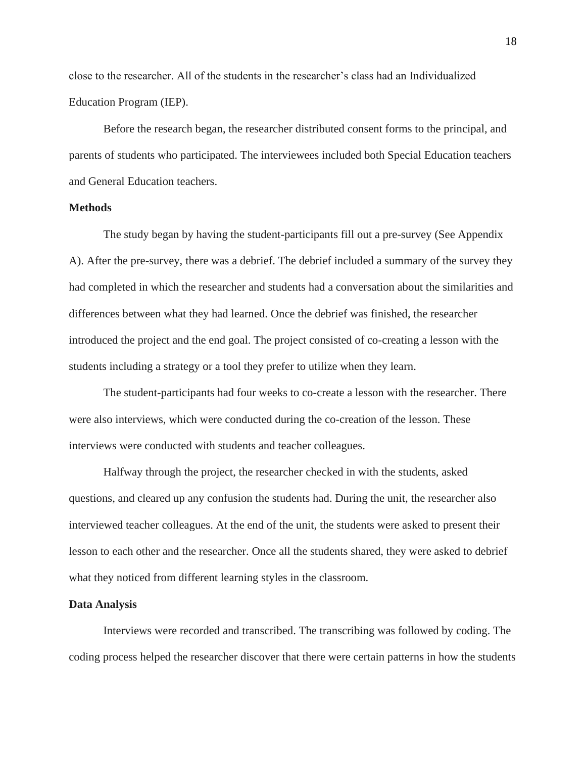close to the researcher. All of the students in the researcher's class had an Individualized Education Program (IEP).

Before the research began, the researcher distributed consent forms to the principal, and parents of students who participated. The interviewees included both Special Education teachers and General Education teachers.

## <span id="page-26-0"></span>**Methods**

The study began by having the student-participants fill out a pre-survey (See Appendix A). After the pre-survey, there was a debrief. The debrief included a summary of the survey they had completed in which the researcher and students had a conversation about the similarities and differences between what they had learned. Once the debrief was finished, the researcher introduced the project and the end goal. The project consisted of co-creating a lesson with the students including a strategy or a tool they prefer to utilize when they learn.

The student-participants had four weeks to co-create a lesson with the researcher. There were also interviews, which were conducted during the co-creation of the lesson. These interviews were conducted with students and teacher colleagues.

Halfway through the project, the researcher checked in with the students, asked questions, and cleared up any confusion the students had. During the unit, the researcher also interviewed teacher colleagues. At the end of the unit, the students were asked to present their lesson to each other and the researcher. Once all the students shared, they were asked to debrief what they noticed from different learning styles in the classroom.

#### <span id="page-26-1"></span>**Data Analysis**

Interviews were recorded and transcribed. The transcribing was followed by coding. The coding process helped the researcher discover that there were certain patterns in how the students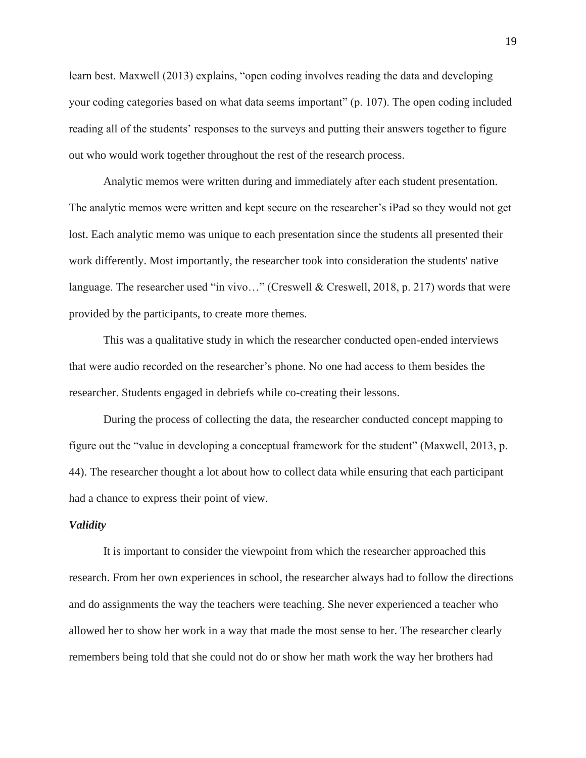learn best. Maxwell (2013) explains, "open coding involves reading the data and developing your coding categories based on what data seems important" (p. 107). The open coding included reading all of the students' responses to the surveys and putting their answers together to figure out who would work together throughout the rest of the research process.

Analytic memos were written during and immediately after each student presentation. The analytic memos were written and kept secure on the researcher's iPad so they would not get lost. Each analytic memo was unique to each presentation since the students all presented their work differently. Most importantly, the researcher took into consideration the students' native language. The researcher used "in vivo..." (Creswell & Creswell, 2018, p. 217) words that were provided by the participants, to create more themes.

This was a qualitative study in which the researcher conducted open-ended interviews that were audio recorded on the researcher's phone. No one had access to them besides the researcher. Students engaged in debriefs while co-creating their lessons.

During the process of collecting the data, the researcher conducted concept mapping to figure out the "value in developing a conceptual framework for the student" (Maxwell, 2013, p. 44). The researcher thought a lot about how to collect data while ensuring that each participant had a chance to express their point of view.

#### <span id="page-27-0"></span>*Validity*

It is important to consider the viewpoint from which the researcher approached this research. From her own experiences in school, the researcher always had to follow the directions and do assignments the way the teachers were teaching. She never experienced a teacher who allowed her to show her work in a way that made the most sense to her. The researcher clearly remembers being told that she could not do or show her math work the way her brothers had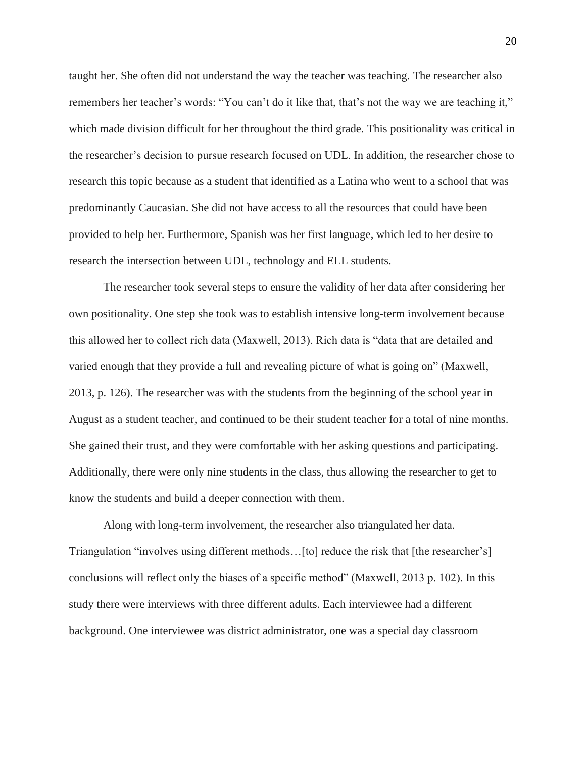taught her. She often did not understand the way the teacher was teaching. The researcher also remembers her teacher's words: "You can't do it like that, that's not the way we are teaching it," which made division difficult for her throughout the third grade. This positionality was critical in the researcher's decision to pursue research focused on UDL. In addition, the researcher chose to research this topic because as a student that identified as a Latina who went to a school that was predominantly Caucasian. She did not have access to all the resources that could have been provided to help her. Furthermore, Spanish was her first language, which led to her desire to research the intersection between UDL, technology and ELL students.

The researcher took several steps to ensure the validity of her data after considering her own positionality. One step she took was to establish intensive long-term involvement because this allowed her to collect rich data (Maxwell, 2013). Rich data is "data that are detailed and varied enough that they provide a full and revealing picture of what is going on" (Maxwell, 2013, p. 126). The researcher was with the students from the beginning of the school year in August as a student teacher, and continued to be their student teacher for a total of nine months. She gained their trust, and they were comfortable with her asking questions and participating. Additionally, there were only nine students in the class, thus allowing the researcher to get to know the students and build a deeper connection with them.

Along with long-term involvement, the researcher also triangulated her data. Triangulation "involves using different methods…[to] reduce the risk that [the researcher's] conclusions will reflect only the biases of a specific method" (Maxwell, 2013 p. 102). In this study there were interviews with three different adults. Each interviewee had a different background. One interviewee was district administrator, one was a special day classroom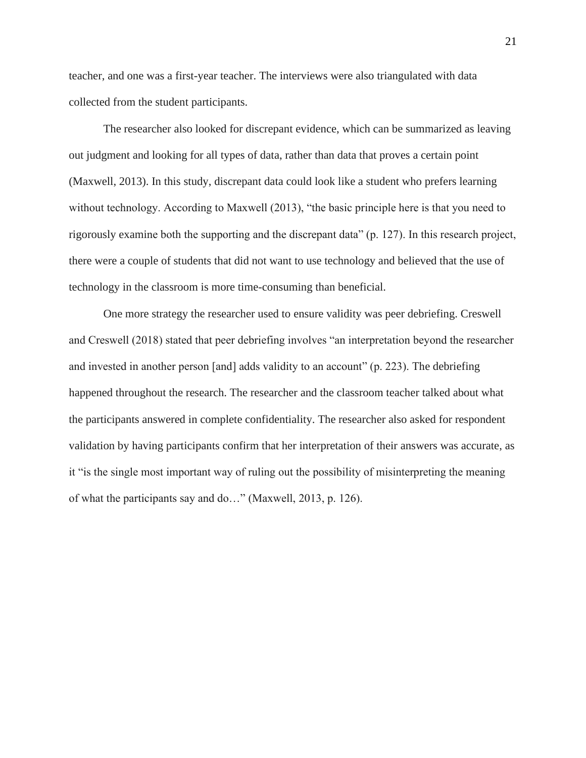teacher, and one was a first-year teacher. The interviews were also triangulated with data collected from the student participants.

The researcher also looked for discrepant evidence, which can be summarized as leaving out judgment and looking for all types of data, rather than data that proves a certain point (Maxwell, 2013). In this study, discrepant data could look like a student who prefers learning without technology. According to Maxwell (2013), "the basic principle here is that you need to rigorously examine both the supporting and the discrepant data" (p. 127). In this research project, there were a couple of students that did not want to use technology and believed that the use of technology in the classroom is more time-consuming than beneficial.

One more strategy the researcher used to ensure validity was peer debriefing. Creswell and Creswell (2018) stated that peer debriefing involves "an interpretation beyond the researcher and invested in another person [and] adds validity to an account" (p. 223). The debriefing happened throughout the research. The researcher and the classroom teacher talked about what the participants answered in complete confidentiality. The researcher also asked for respondent validation by having participants confirm that her interpretation of their answers was accurate, as it "is the single most important way of ruling out the possibility of misinterpreting the meaning of what the participants say and do…" (Maxwell, 2013, p. 126).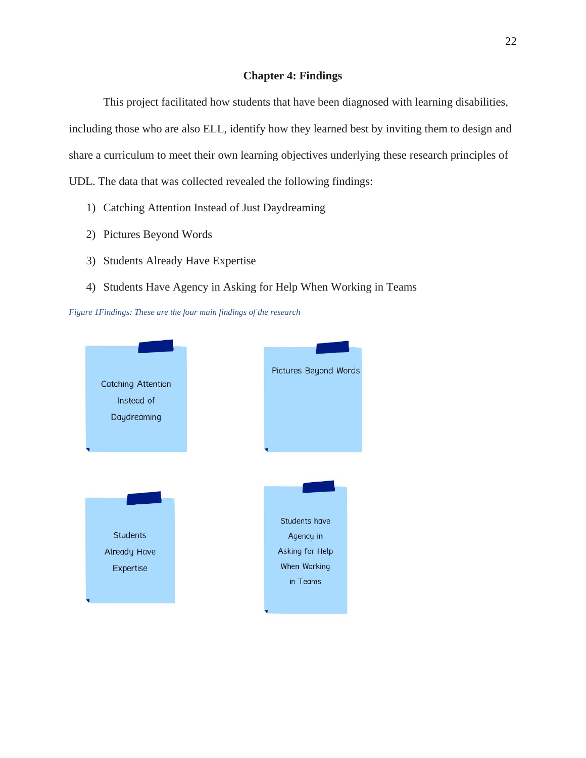## **Chapter 4: Findings**

<span id="page-30-0"></span>This project facilitated how students that have been diagnosed with learning disabilities, including those who are also ELL, identify how they learned best by inviting them to design and share a curriculum to meet their own learning objectives underlying these research principles of UDL. The data that was collected revealed the following findings:

- 1) Catching Attention Instead of Just Daydreaming
- 2) Pictures Beyond Words
- 3) Students Already Have Expertise
- 4) Students Have Agency in Asking for Help When Working in Teams

<span id="page-30-1"></span>*Figure 1Findings: These are the four main findings of the research*

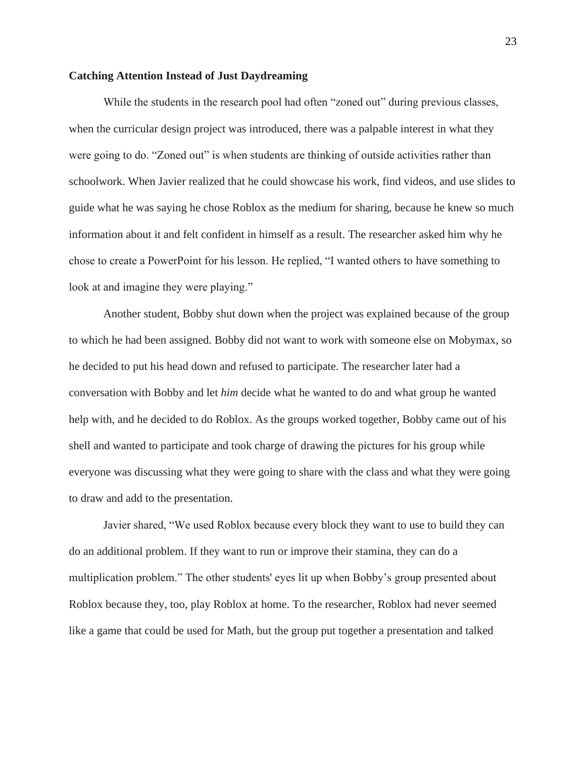#### <span id="page-31-0"></span>**Catching Attention Instead of Just Daydreaming**

While the students in the research pool had often "zoned out" during previous classes, when the curricular design project was introduced, there was a palpable interest in what they were going to do. "Zoned out" is when students are thinking of outside activities rather than schoolwork. When Javier realized that he could showcase his work, find videos, and use slides to guide what he was saying he chose Roblox as the medium for sharing, because he knew so much information about it and felt confident in himself as a result. The researcher asked him why he chose to create a PowerPoint for his lesson. He replied, "I wanted others to have something to look at and imagine they were playing."

Another student, Bobby shut down when the project was explained because of the group to which he had been assigned. Bobby did not want to work with someone else on Mobymax, so he decided to put his head down and refused to participate. The researcher later had a conversation with Bobby and let *him* decide what he wanted to do and what group he wanted help with, and he decided to do Roblox. As the groups worked together, Bobby came out of his shell and wanted to participate and took charge of drawing the pictures for his group while everyone was discussing what they were going to share with the class and what they were going to draw and add to the presentation.

Javier shared, "We used Roblox because every block they want to use to build they can do an additional problem. If they want to run or improve their stamina, they can do a multiplication problem." The other students' eyes lit up when Bobby's group presented about Roblox because they, too, play Roblox at home. To the researcher, Roblox had never seemed like a game that could be used for Math, but the group put together a presentation and talked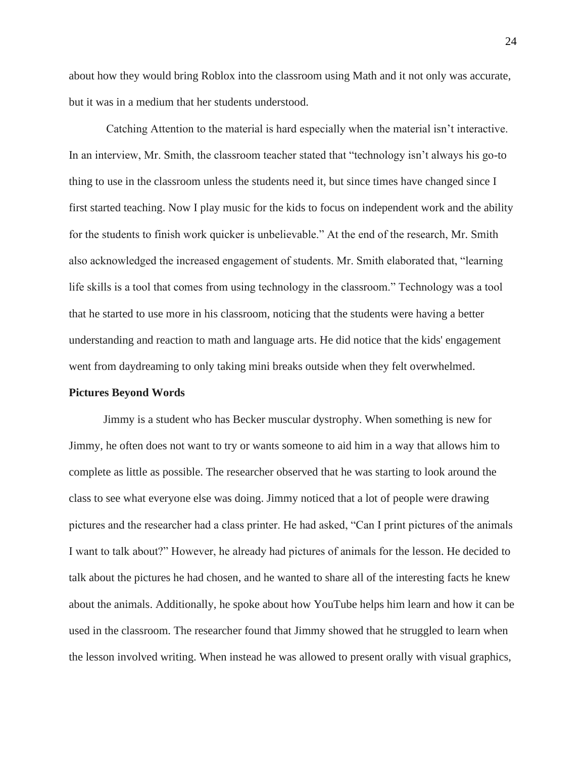about how they would bring Roblox into the classroom using Math and it not only was accurate, but it was in a medium that her students understood.

Catching Attention to the material is hard especially when the material isn't interactive. In an interview, Mr. Smith, the classroom teacher stated that "technology isn't always his go-to thing to use in the classroom unless the students need it, but since times have changed since I first started teaching. Now I play music for the kids to focus on independent work and the ability for the students to finish work quicker is unbelievable." At the end of the research, Mr. Smith also acknowledged the increased engagement of students. Mr. Smith elaborated that, "learning life skills is a tool that comes from using technology in the classroom." Technology was a tool that he started to use more in his classroom, noticing that the students were having a better understanding and reaction to math and language arts. He did notice that the kids' engagement went from daydreaming to only taking mini breaks outside when they felt overwhelmed.

#### <span id="page-32-0"></span>**Pictures Beyond Words**

Jimmy is a student who has Becker muscular dystrophy. When something is new for Jimmy, he often does not want to try or wants someone to aid him in a way that allows him to complete as little as possible. The researcher observed that he was starting to look around the class to see what everyone else was doing. Jimmy noticed that a lot of people were drawing pictures and the researcher had a class printer. He had asked, "Can I print pictures of the animals I want to talk about?" However, he already had pictures of animals for the lesson. He decided to talk about the pictures he had chosen, and he wanted to share all of the interesting facts he knew about the animals. Additionally, he spoke about how YouTube helps him learn and how it can be used in the classroom. The researcher found that Jimmy showed that he struggled to learn when the lesson involved writing. When instead he was allowed to present orally with visual graphics,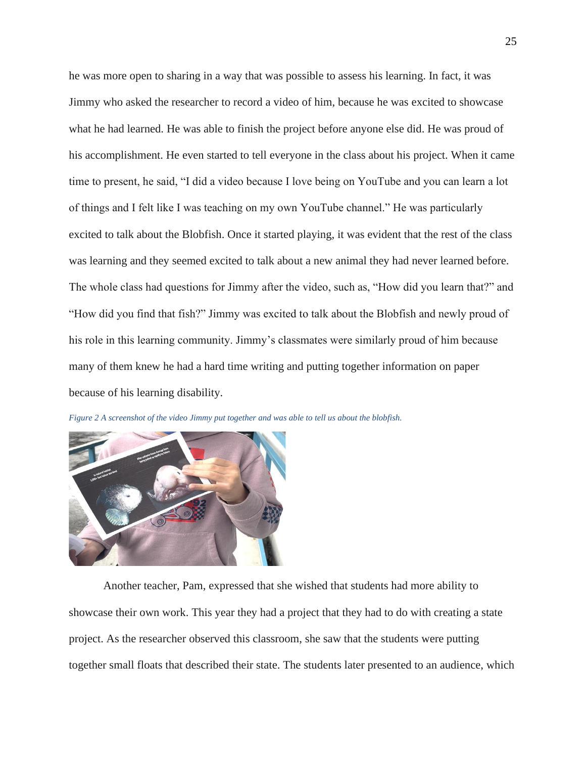he was more open to sharing in a way that was possible to assess his learning. In fact, it was Jimmy who asked the researcher to record a video of him, because he was excited to showcase what he had learned. He was able to finish the project before anyone else did. He was proud of his accomplishment. He even started to tell everyone in the class about his project. When it came time to present, he said, "I did a video because I love being on YouTube and you can learn a lot of things and I felt like I was teaching on my own YouTube channel." He was particularly excited to talk about the Blobfish. Once it started playing, it was evident that the rest of the class was learning and they seemed excited to talk about a new animal they had never learned before. The whole class had questions for Jimmy after the video, such as, "How did you learn that?" and "How did you find that fish?" Jimmy was excited to talk about the Blobfish and newly proud of his role in this learning community. Jimmy's classmates were similarly proud of him because many of them knew he had a hard time writing and putting together information on paper because of his learning disability.

<span id="page-33-0"></span>



Another teacher, Pam, expressed that she wished that students had more ability to showcase their own work. This year they had a project that they had to do with creating a state project. As the researcher observed this classroom, she saw that the students were putting together small floats that described their state. The students later presented to an audience, which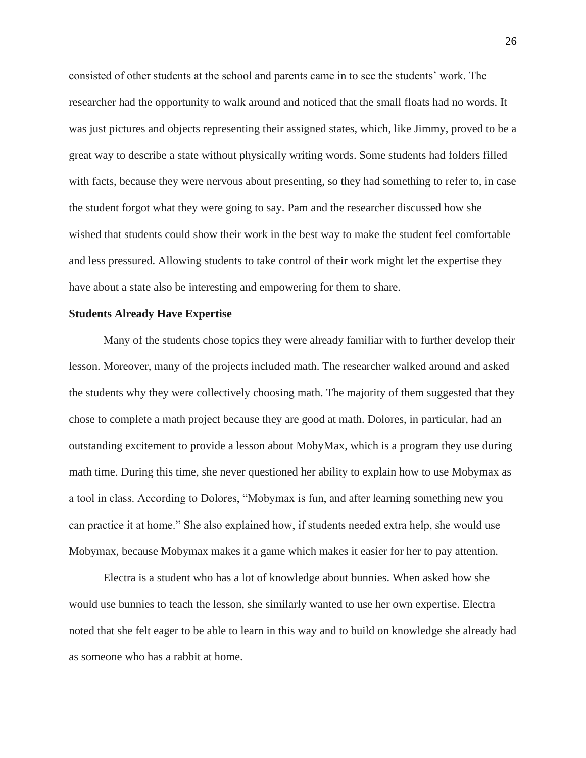consisted of other students at the school and parents came in to see the students' work. The researcher had the opportunity to walk around and noticed that the small floats had no words. It was just pictures and objects representing their assigned states, which, like Jimmy, proved to be a great way to describe a state without physically writing words. Some students had folders filled with facts, because they were nervous about presenting, so they had something to refer to, in case the student forgot what they were going to say. Pam and the researcher discussed how she wished that students could show their work in the best way to make the student feel comfortable and less pressured. Allowing students to take control of their work might let the expertise they have about a state also be interesting and empowering for them to share.

#### <span id="page-34-0"></span>**Students Already Have Expertise**

Many of the students chose topics they were already familiar with to further develop their lesson. Moreover, many of the projects included math. The researcher walked around and asked the students why they were collectively choosing math. The majority of them suggested that they chose to complete a math project because they are good at math. Dolores, in particular, had an outstanding excitement to provide a lesson about MobyMax, which is a program they use during math time. During this time, she never questioned her ability to explain how to use Mobymax as a tool in class. According to Dolores, "Mobymax is fun, and after learning something new you can practice it at home." She also explained how, if students needed extra help, she would use Mobymax, because Mobymax makes it a game which makes it easier for her to pay attention.

Electra is a student who has a lot of knowledge about bunnies. When asked how she would use bunnies to teach the lesson, she similarly wanted to use her own expertise. Electra noted that she felt eager to be able to learn in this way and to build on knowledge she already had as someone who has a rabbit at home.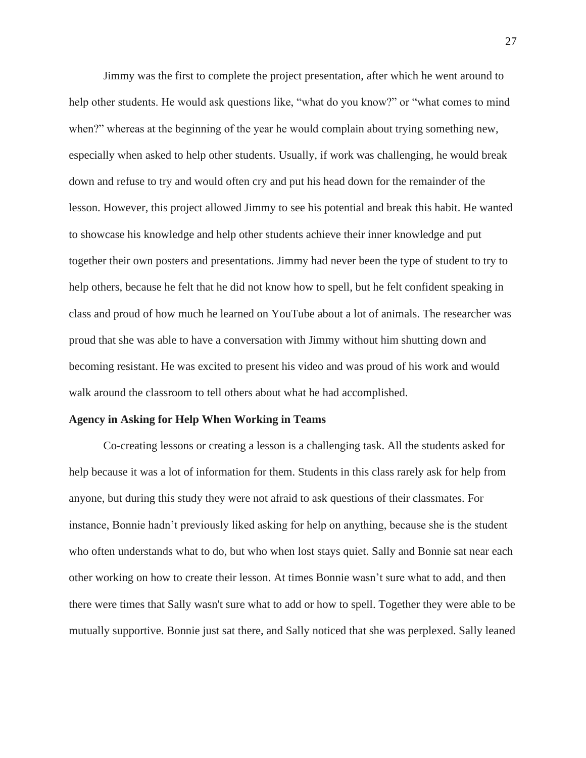Jimmy was the first to complete the project presentation, after which he went around to help other students. He would ask questions like, "what do you know?" or "what comes to mind when?" whereas at the beginning of the year he would complain about trying something new, especially when asked to help other students. Usually, if work was challenging, he would break down and refuse to try and would often cry and put his head down for the remainder of the lesson. However, this project allowed Jimmy to see his potential and break this habit. He wanted to showcase his knowledge and help other students achieve their inner knowledge and put together their own posters and presentations. Jimmy had never been the type of student to try to help others, because he felt that he did not know how to spell, but he felt confident speaking in class and proud of how much he learned on YouTube about a lot of animals. The researcher was proud that she was able to have a conversation with Jimmy without him shutting down and becoming resistant. He was excited to present his video and was proud of his work and would walk around the classroom to tell others about what he had accomplished.

#### <span id="page-35-0"></span>**Agency in Asking for Help When Working in Teams**

Co-creating lessons or creating a lesson is a challenging task. All the students asked for help because it was a lot of information for them. Students in this class rarely ask for help from anyone, but during this study they were not afraid to ask questions of their classmates. For instance, Bonnie hadn't previously liked asking for help on anything, because she is the student who often understands what to do, but who when lost stays quiet. Sally and Bonnie sat near each other working on how to create their lesson. At times Bonnie wasn't sure what to add, and then there were times that Sally wasn't sure what to add or how to spell. Together they were able to be mutually supportive. Bonnie just sat there, and Sally noticed that she was perplexed. Sally leaned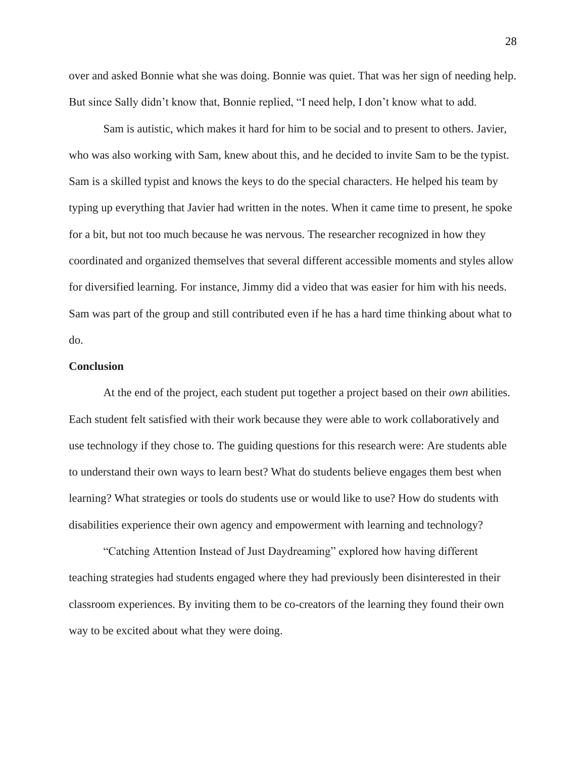over and asked Bonnie what she was doing. Bonnie was quiet. That was her sign of needing help. But since Sally didn't know that, Bonnie replied, "I need help, I don't know what to add.

Sam is autistic, which makes it hard for him to be social and to present to others. Javier, who was also working with Sam, knew about this, and he decided to invite Sam to be the typist. Sam is a skilled typist and knows the keys to do the special characters. He helped his team by typing up everything that Javier had written in the notes. When it came time to present, he spoke for a bit, but not too much because he was nervous. The researcher recognized in how they coordinated and organized themselves that several different accessible moments and styles allow for diversified learning. For instance, Jimmy did a video that was easier for him with his needs. Sam was part of the group and still contributed even if he has a hard time thinking about what to do.

## <span id="page-36-0"></span>**Conclusion**

At the end of the project, each student put together a project based on their *own* abilities. Each student felt satisfied with their work because they were able to work collaboratively and use technology if they chose to. The guiding questions for this research were: Are students able to understand their own ways to learn best? What do students believe engages them best when learning? What strategies or tools do students use or would like to use? How do students with disabilities experience their own agency and empowerment with learning and technology?

"Catching Attention Instead of Just Daydreaming" explored how having different teaching strategies had students engaged where they had previously been disinterested in their classroom experiences. By inviting them to be co-creators of the learning they found their own way to be excited about what they were doing.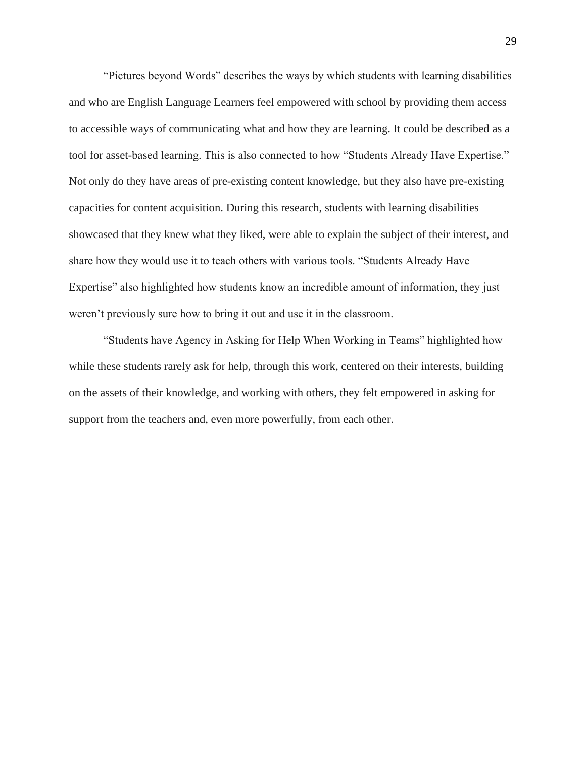"Pictures beyond Words" describes the ways by which students with learning disabilities and who are English Language Learners feel empowered with school by providing them access to accessible ways of communicating what and how they are learning. It could be described as a tool for asset-based learning. This is also connected to how "Students Already Have Expertise." Not only do they have areas of pre-existing content knowledge, but they also have pre-existing capacities for content acquisition. During this research, students with learning disabilities showcased that they knew what they liked, were able to explain the subject of their interest, and share how they would use it to teach others with various tools. "Students Already Have Expertise" also highlighted how students know an incredible amount of information, they just weren't previously sure how to bring it out and use it in the classroom.

"Students have Agency in Asking for Help When Working in Teams" highlighted how while these students rarely ask for help, through this work, centered on their interests, building on the assets of their knowledge, and working with others, they felt empowered in asking for support from the teachers and, even more powerfully, from each other.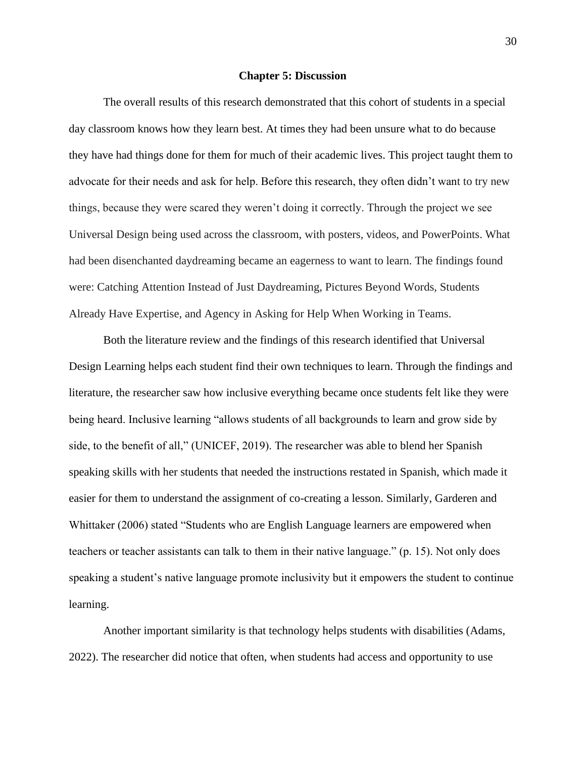#### **Chapter 5: Discussion**

<span id="page-38-0"></span>The overall results of this research demonstrated that this cohort of students in a special day classroom knows how they learn best. At times they had been unsure what to do because they have had things done for them for much of their academic lives. This project taught them to advocate for their needs and ask for help. Before this research, they often didn't want to try new things, because they were scared they weren't doing it correctly. Through the project we see Universal Design being used across the classroom, with posters, videos, and PowerPoints. What had been disenchanted daydreaming became an eagerness to want to learn. The findings found were: Catching Attention Instead of Just Daydreaming, Pictures Beyond Words, Students Already Have Expertise, and Agency in Asking for Help When Working in Teams.

Both the literature review and the findings of this research identified that Universal Design Learning helps each student find their own techniques to learn. Through the findings and literature, the researcher saw how inclusive everything became once students felt like they were being heard. Inclusive learning "allows students of all backgrounds to learn and grow side by side, to the benefit of all," (UNICEF, 2019). The researcher was able to blend her Spanish speaking skills with her students that needed the instructions restated in Spanish, which made it easier for them to understand the assignment of co-creating a lesson. Similarly, Garderen and Whittaker (2006) stated "Students who are English Language learners are empowered when teachers or teacher assistants can talk to them in their native language." (p. 15). Not only does speaking a student's native language promote inclusivity but it empowers the student to continue learning.

Another important similarity is that technology helps students with disabilities (Adams, 2022). The researcher did notice that often, when students had access and opportunity to use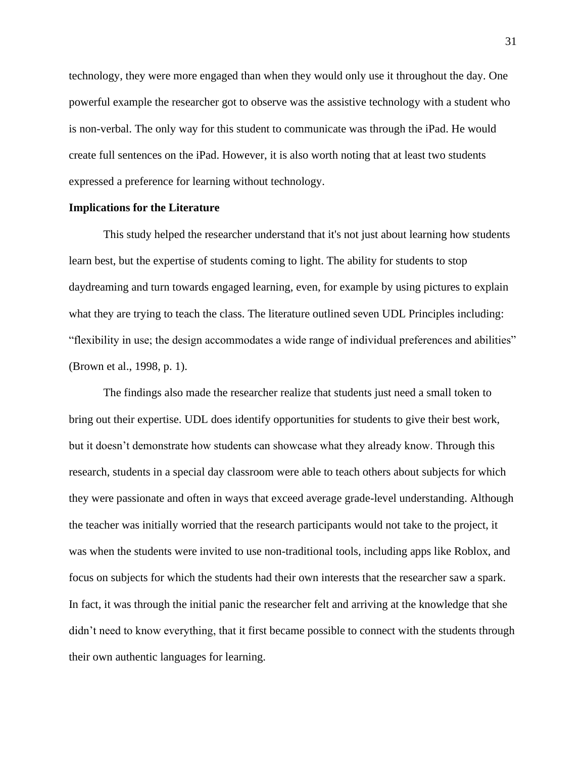technology, they were more engaged than when they would only use it throughout the day. One powerful example the researcher got to observe was the assistive technology with a student who is non-verbal. The only way for this student to communicate was through the iPad. He would create full sentences on the iPad. However, it is also worth noting that at least two students expressed a preference for learning without technology.

## <span id="page-39-0"></span>**Implications for the Literature**

This study helped the researcher understand that it's not just about learning how students learn best, but the expertise of students coming to light. The ability for students to stop daydreaming and turn towards engaged learning, even, for example by using pictures to explain what they are trying to teach the class. The literature outlined seven UDL Principles including: "flexibility in use; the design accommodates a wide range of individual preferences and abilities" (Brown et al., 1998, p. 1).

The findings also made the researcher realize that students just need a small token to bring out their expertise. UDL does identify opportunities for students to give their best work, but it doesn't demonstrate how students can showcase what they already know. Through this research, students in a special day classroom were able to teach others about subjects for which they were passionate and often in ways that exceed average grade-level understanding. Although the teacher was initially worried that the research participants would not take to the project, it was when the students were invited to use non-traditional tools, including apps like Roblox, and focus on subjects for which the students had their own interests that the researcher saw a spark. In fact, it was through the initial panic the researcher felt and arriving at the knowledge that she didn't need to know everything, that it first became possible to connect with the students through their own authentic languages for learning.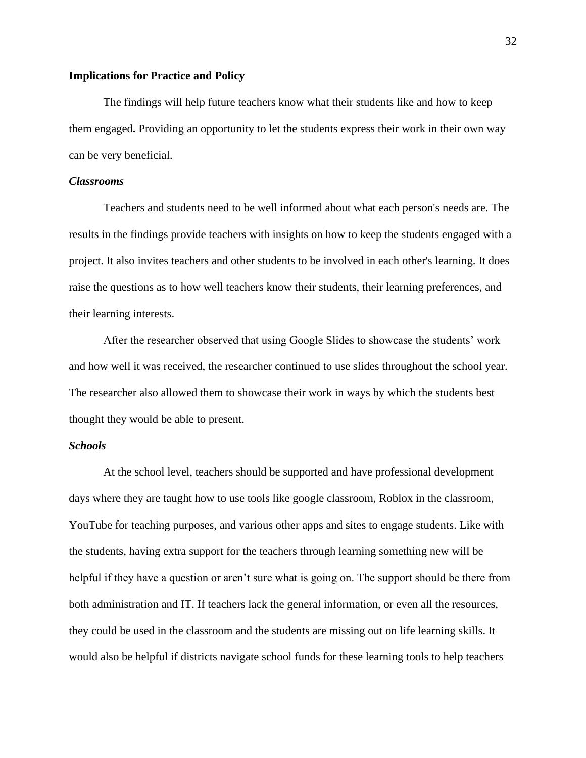#### <span id="page-40-0"></span>**Implications for Practice and Policy**

The findings will help future teachers know what their students like and how to keep them engaged**.** Providing an opportunity to let the students express their work in their own way can be very beneficial.

#### <span id="page-40-1"></span>*Classrooms*

Teachers and students need to be well informed about what each person's needs are. The results in the findings provide teachers with insights on how to keep the students engaged with a project. It also invites teachers and other students to be involved in each other's learning. It does raise the questions as to how well teachers know their students, their learning preferences, and their learning interests.

After the researcher observed that using Google Slides to showcase the students' work and how well it was received, the researcher continued to use slides throughout the school year. The researcher also allowed them to showcase their work in ways by which the students best thought they would be able to present.

## <span id="page-40-2"></span>*Schools*

At the school level, teachers should be supported and have professional development days where they are taught how to use tools like google classroom, Roblox in the classroom, YouTube for teaching purposes, and various other apps and sites to engage students. Like with the students, having extra support for the teachers through learning something new will be helpful if they have a question or aren't sure what is going on. The support should be there from both administration and IT. If teachers lack the general information, or even all the resources, they could be used in the classroom and the students are missing out on life learning skills. It would also be helpful if districts navigate school funds for these learning tools to help teachers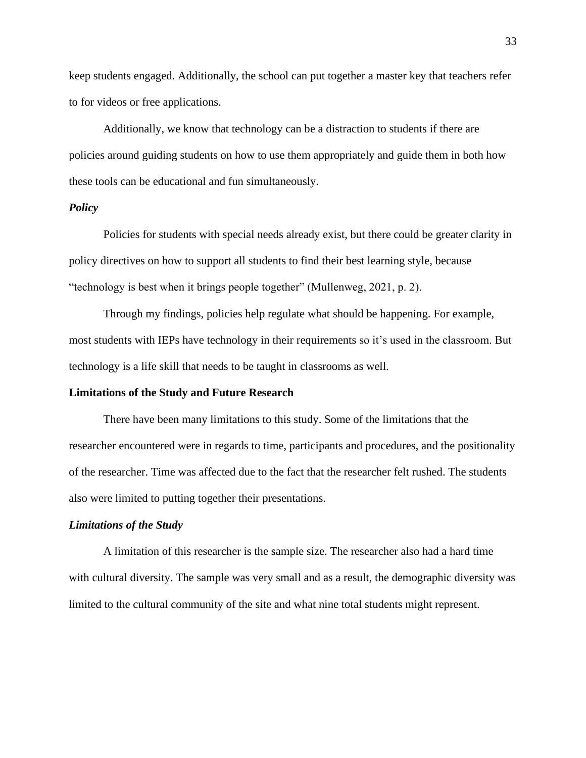keep students engaged. Additionally, the school can put together a master key that teachers refer to for videos or free applications.

Additionally, we know that technology can be a distraction to students if there are policies around guiding students on how to use them appropriately and guide them in both how these tools can be educational and fun simultaneously.

## <span id="page-41-0"></span>*Policy*

Policies for students with special needs already exist, but there could be greater clarity in policy directives on how to support all students to find their best learning style, because "technology is best when it brings people together" (Mullenweg, 2021, p. 2).

Through my findings, policies help regulate what should be happening. For example, most students with IEPs have technology in their requirements so it's used in the classroom. But technology is a life skill that needs to be taught in classrooms as well.

### <span id="page-41-1"></span>**Limitations of the Study and Future Research**

There have been many limitations to this study. Some of the limitations that the researcher encountered were in regards to time, participants and procedures, and the positionality of the researcher. Time was affected due to the fact that the researcher felt rushed. The students also were limited to putting together their presentations.

#### <span id="page-41-2"></span>*Limitations of the Study*

A limitation of this researcher is the sample size. The researcher also had a hard time with cultural diversity. The sample was very small and as a result, the demographic diversity was limited to the cultural community of the site and what nine total students might represent.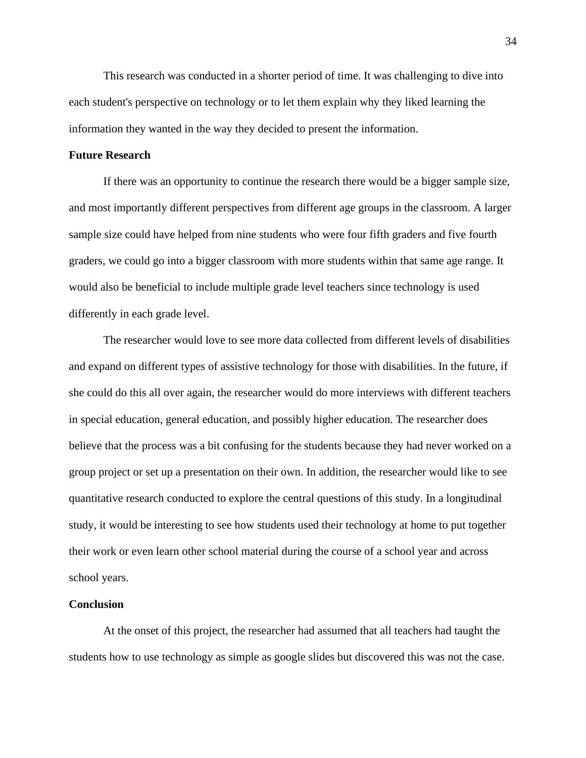This research was conducted in a shorter period of time. It was challenging to dive into each student's perspective on technology or to let them explain why they liked learning the information they wanted in the way they decided to present the information.

## <span id="page-42-0"></span>**Future Research**

If there was an opportunity to continue the research there would be a bigger sample size, and most importantly different perspectives from different age groups in the classroom. A larger sample size could have helped from nine students who were four fifth graders and five fourth graders, we could go into a bigger classroom with more students within that same age range. It would also be beneficial to include multiple grade level teachers since technology is used differently in each grade level.

The researcher would love to see more data collected from different levels of disabilities and expand on different types of assistive technology for those with disabilities. In the future, if she could do this all over again, the researcher would do more interviews with different teachers in special education, general education, and possibly higher education. The researcher does believe that the process was a bit confusing for the students because they had never worked on a group project or set up a presentation on their own. In addition, the researcher would like to see quantitative research conducted to explore the central questions of this study. In a longitudinal study, it would be interesting to see how students used their technology at home to put together their work or even learn other school material during the course of a school year and across school years.

#### <span id="page-42-1"></span>**Conclusion**

At the onset of this project, the researcher had assumed that all teachers had taught the students how to use technology as simple as google slides but discovered this was not the case.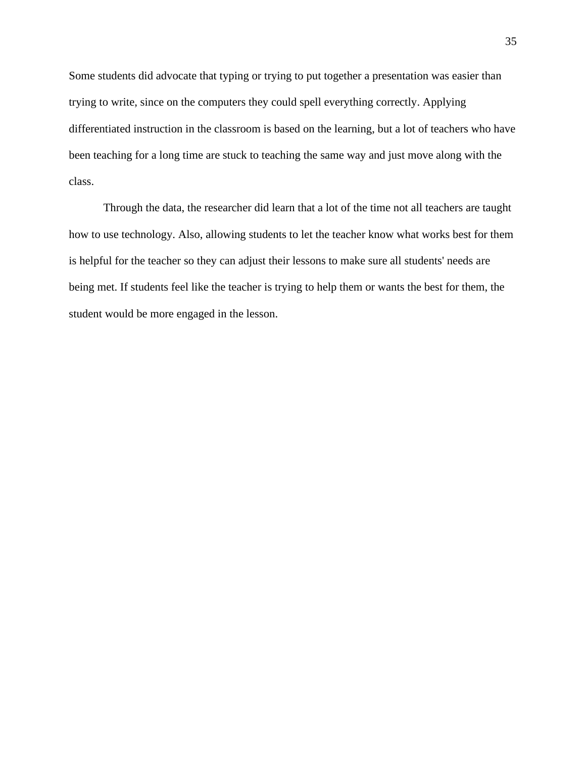Some students did advocate that typing or trying to put together a presentation was easier than trying to write, since on the computers they could spell everything correctly. Applying differentiated instruction in the classroom is based on the learning, but a lot of teachers who have been teaching for a long time are stuck to teaching the same way and just move along with the class.

Through the data, the researcher did learn that a lot of the time not all teachers are taught how to use technology. Also, allowing students to let the teacher know what works best for them is helpful for the teacher so they can adjust their lessons to make sure all students' needs are being met. If students feel like the teacher is trying to help them or wants the best for them, the student would be more engaged in the lesson.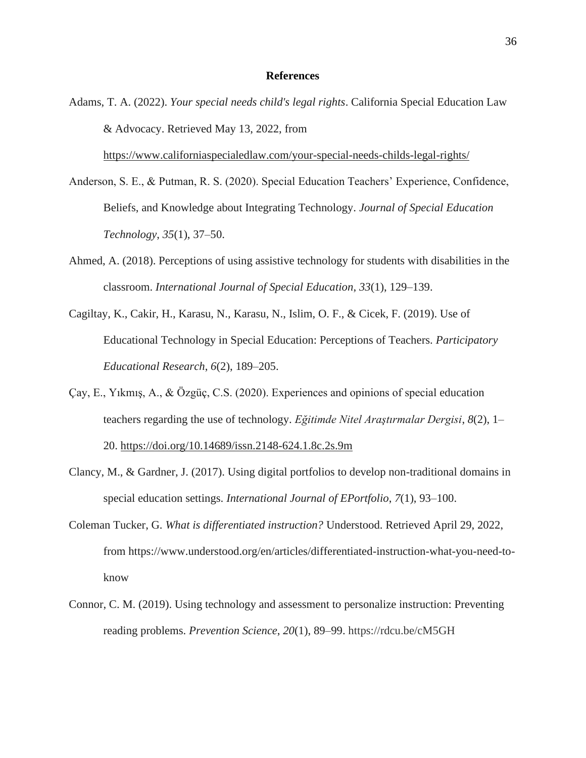#### **References**

<span id="page-44-0"></span>Adams, T. A. (2022). *Your special needs child's legal rights*. California Special Education Law & Advocacy. Retrieved May 13, 2022, from

<https://www.californiaspecialedlaw.com/your-special-needs-childs-legal-rights/>

- Anderson, S. E., & Putman, R. S. (2020). Special Education Teachers' Experience, Confidence, Beliefs, and Knowledge about Integrating Technology. *Journal of Special Education Technology*, *35*(1), 37–50.
- Ahmed, A. (2018). Perceptions of using assistive technology for students with disabilities in the classroom. *International Journal of Special Education*, *33*(1), 129–139.
- Cagiltay, K., Cakir, H., Karasu, N., Karasu, N., Islim, O. F., & Cicek, F. (2019). Use of Educational Technology in Special Education: Perceptions of Teachers. *Participatory Educational Research*, *6*(2), 189–205.
- Çay, E., Yıkmış, A., & Özgüç, C.S. (2020). Experiences and opinions of special education teachers regarding the use of technology. *Eğitimde Nitel Araştırmalar Dergisi*, *8*(2), 1– 20. [https://doi.org/10.14689/issn.2148-624.1.8c.2s.9m](https://doi-org.dominican.idm.oclc.org/10.14689/issn.2148-624.1.8c.2s.9m)
- Clancy, M., & Gardner, J. (2017). Using digital portfolios to develop non-traditional domains in special education settings. *International Journal of EPortfolio*, *7*(1), 93–100.
- Coleman Tucker, G. *What is differentiated instruction?* Understood. Retrieved April 29, 2022, from https://www.understood.org/en/articles/differentiated-instruction-what-you-need-toknow
- Connor, C. M. (2019). Using technology and assessment to personalize instruction: Preventing reading problems. *Prevention Science*, *20*(1), 89–99. https://rdcu.be/cM5GH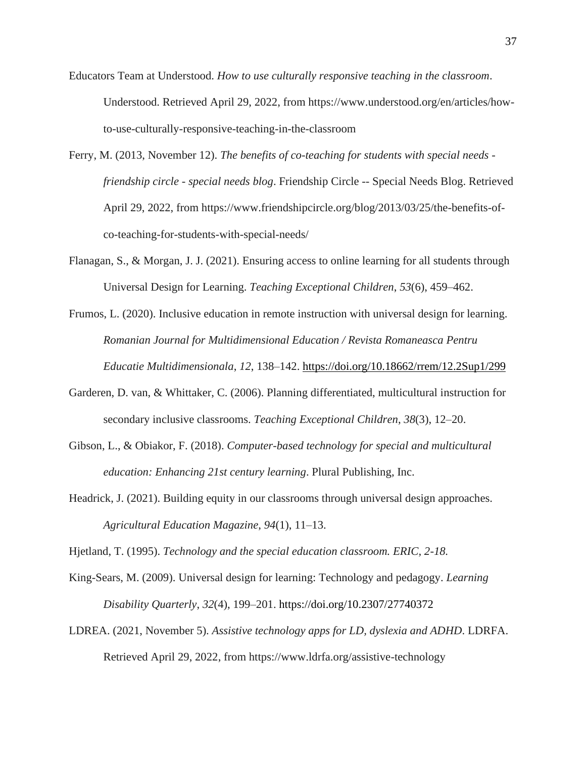- Educators Team at Understood. *How to use culturally responsive teaching in the classroom*. Understood. Retrieved April 29, 2022, from https://www.understood.org/en/articles/howto-use-culturally-responsive-teaching-in-the-classroom
- Ferry, M. (2013, November 12). *The benefits of co-teaching for students with special needs friendship circle - special needs blog*. Friendship Circle -- Special Needs Blog. Retrieved April 29, 2022, from https://www.friendshipcircle.org/blog/2013/03/25/the-benefits-ofco-teaching-for-students-with-special-needs/
- Flanagan, S., & Morgan, J. J. (2021). Ensuring access to online learning for all students through Universal Design for Learning. *Teaching Exceptional Children*, *53*(6), 459–462.
- Frumos, L. (2020). Inclusive education in remote instruction with universal design for learning. *Romanian Journal for Multidimensional Education / Revista Romaneasca Pentru Educatie Multidimensionala*, *12*, 138–142. <https://doi.org/10.18662/rrem/12.2Sup1/299>
- Garderen, D. van, & Whittaker, C. (2006). Planning differentiated, multicultural instruction for secondary inclusive classrooms. *Teaching Exceptional Children*, *38*(3), 12–20.
- Gibson, L., & Obiakor, F. (2018). *Computer-based technology for special and multicultural education: Enhancing 21st century learning*. Plural Publishing, Inc.
- Headrick, J. (2021). Building equity in our classrooms through universal design approaches. *Agricultural Education Magazine*, *94*(1), 11–13.

Hjetland, T. (1995). *Technology and the special education classroom. ERIC, 2-18.*

- King-Sears, M. (2009). Universal design for learning: Technology and pedagogy. *Learning Disability Quarterly*, *32*(4), 199–201. https://doi.org/10.2307/27740372
- LDREA. (2021, November 5). *Assistive technology apps for LD, dyslexia and ADHD*. LDRFA. Retrieved April 29, 2022, from https://www.ldrfa.org/assistive-technology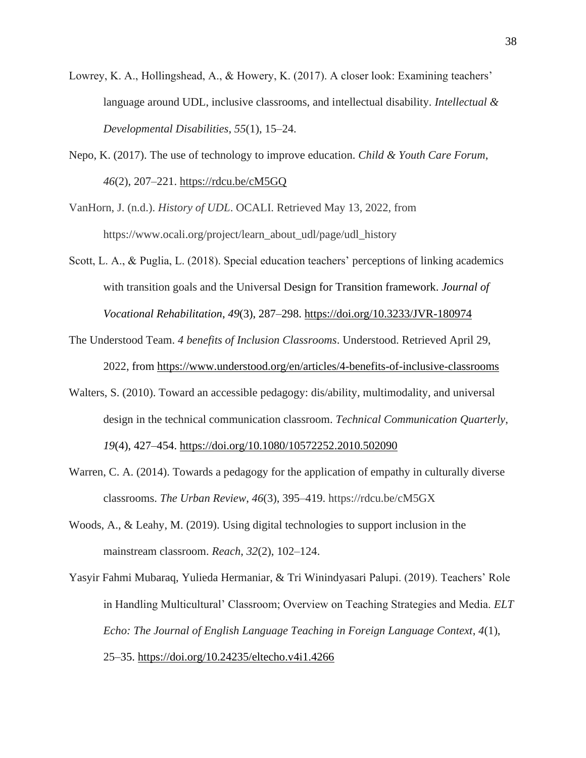- Lowrey, K. A., Hollingshead, A., & Howery, K. (2017). A closer look: Examining teachers' language around UDL, inclusive classrooms, and intellectual disability. *Intellectual & Developmental Disabilities*, *55*(1), 15–24.
- Nepo, K. (2017). The use of technology to improve education. *Child & Youth Care Forum*, *46*(2), 207–221.<https://rdcu.be/cM5GQ>
- VanHorn, J. (n.d.). *History of UDL*. OCALI. Retrieved May 13, 2022, from https://www.ocali.org/project/learn\_about\_udl/page/udl\_history
- Scott, L. A., & Puglia, L. (2018). Special education teachers' perceptions of linking academics with transition goals and the Universal Design for Transition framework. *Journal of Vocational Rehabilitation*, *49*(3), 287–298.<https://doi.org/10.3233/JVR-180974>
- The Understood Team. *4 benefits of Inclusion Classrooms*. Understood. Retrieved April 29, 2022, from<https://www.understood.org/en/articles/4-benefits-of-inclusive-classrooms>
- Walters, S. (2010). Toward an accessible pedagogy: dis/ability, multimodality, and universal design in the technical communication classroom. *Technical Communication Quarterly*, *19*(4), 427–454.<https://doi.org/10.1080/10572252.2010.502090>
- Warren, C. A. (2014). Towards a pedagogy for the application of empathy in culturally diverse classrooms. *The Urban Review*, *46*(3), 395–419. https://rdcu.be/cM5GX
- Woods, A., & Leahy, M. (2019). Using digital technologies to support inclusion in the mainstream classroom. *Reach*, *32*(2), 102–124.
- Yasyir Fahmi Mubaraq, Yulieda Hermaniar, & Tri Winindyasari Palupi. (2019). Teachers' Role in Handling Multicultural' Classroom; Overview on Teaching Strategies and Media. *ELT Echo: The Journal of English Language Teaching in Foreign Language Context*, *4*(1), 25–35.<https://doi.org/10.24235/eltecho.v4i1.4266>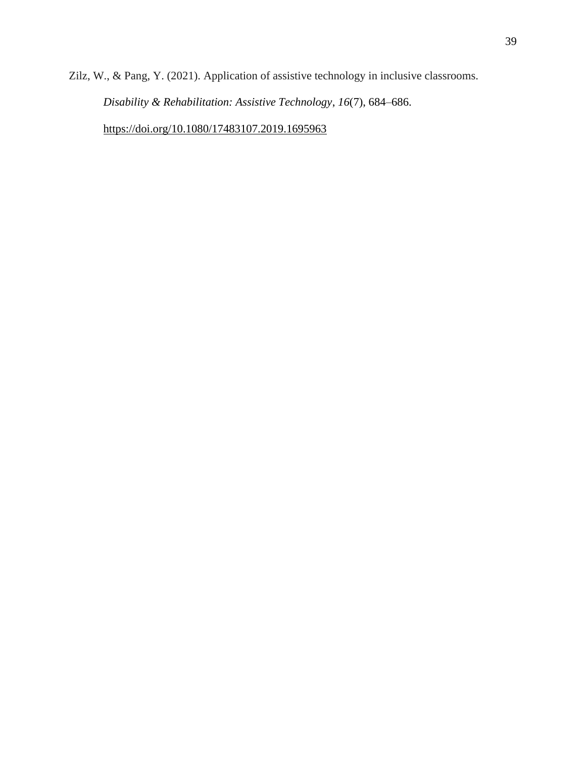Zilz, W., & Pang, Y. (2021). Application of assistive technology in inclusive classrooms. *Disability & Rehabilitation: Assistive Technology*, *16*(7), 684–686. <https://doi.org/10.1080/17483107.2019.1695963>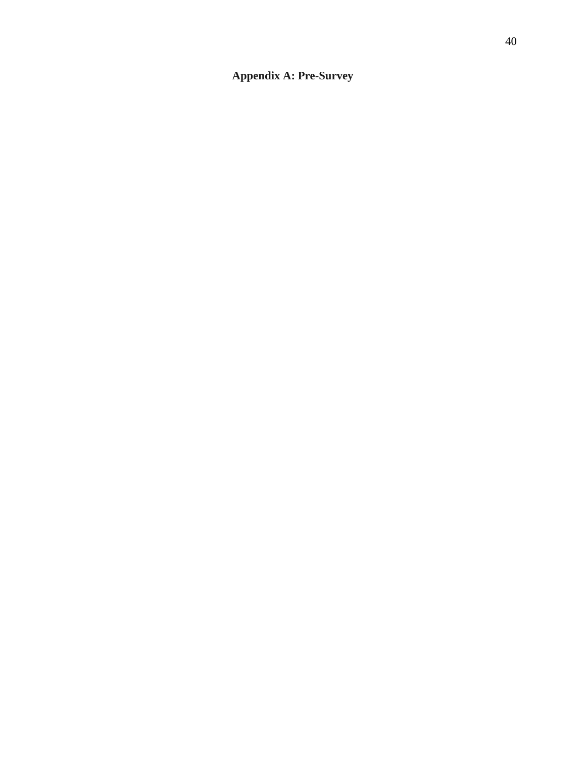## <span id="page-48-0"></span>**Appendix A: Pre-Survey**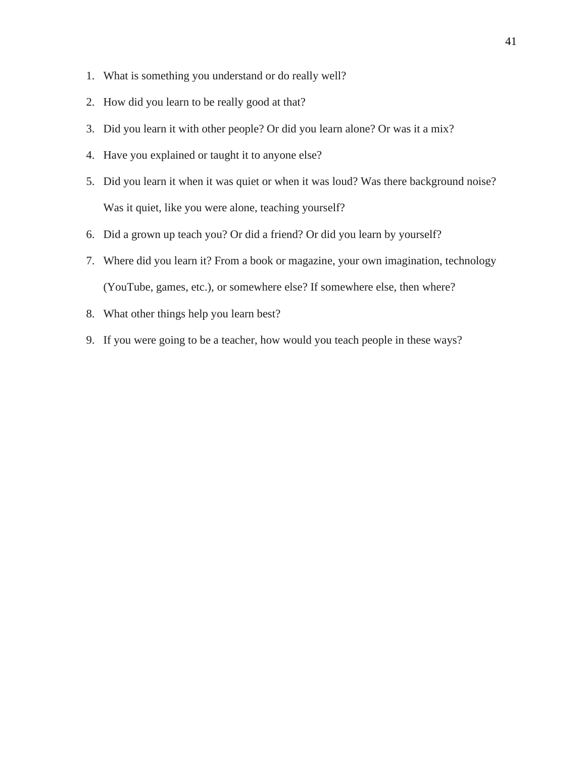- 1. What is something you understand or do really well?
- 2. How did you learn to be really good at that?
- 3. Did you learn it with other people? Or did you learn alone? Or was it a mix?
- 4. Have you explained or taught it to anyone else?
- 5. Did you learn it when it was quiet or when it was loud? Was there background noise? Was it quiet, like you were alone, teaching yourself?
- 6. Did a grown up teach you? Or did a friend? Or did you learn by yourself?
- 7. Where did you learn it? From a book or magazine, your own imagination, technology (YouTube, games, etc.), or somewhere else? If somewhere else, then where?
- 8. What other things help you learn best?
- 9. If you were going to be a teacher, how would you teach people in these ways?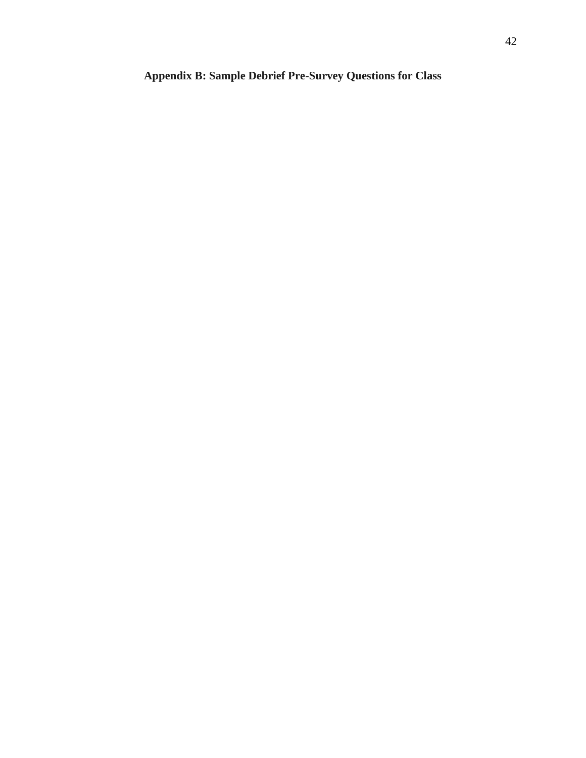## <span id="page-50-0"></span>**Appendix B: Sample Debrief Pre-Survey Questions for Class**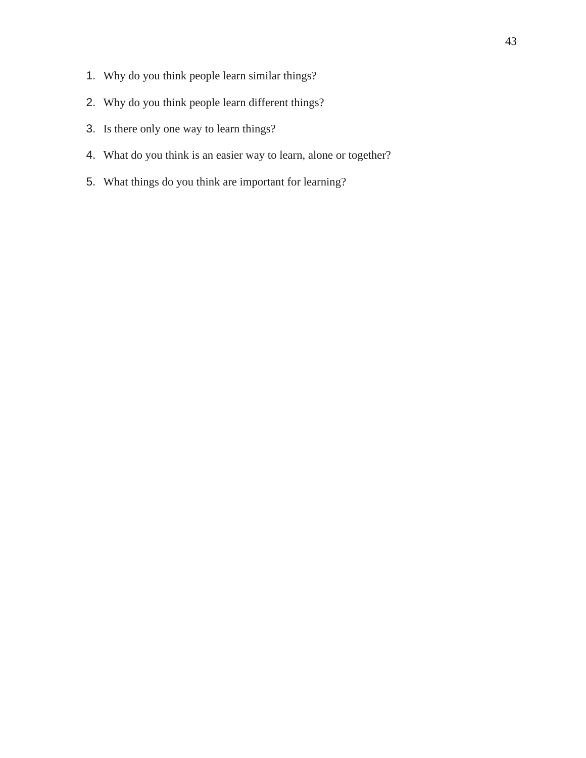- 1. Why do you think people learn similar things?
- 2. Why do you think people learn different things?
- 3. Is there only one way to learn things?
- 4. What do you think is an easier way to learn, alone or together?
- 5. What things do you think are important for learning?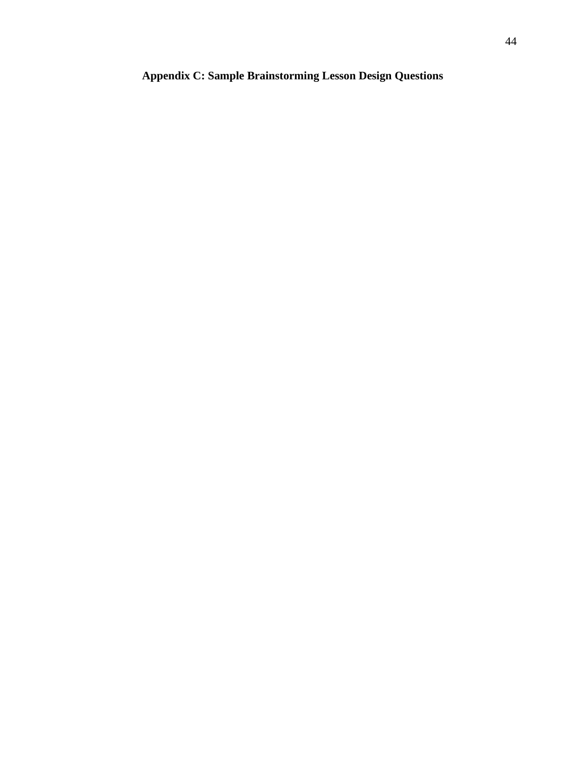## <span id="page-52-0"></span>**Appendix C: Sample Brainstorming Lesson Design Questions**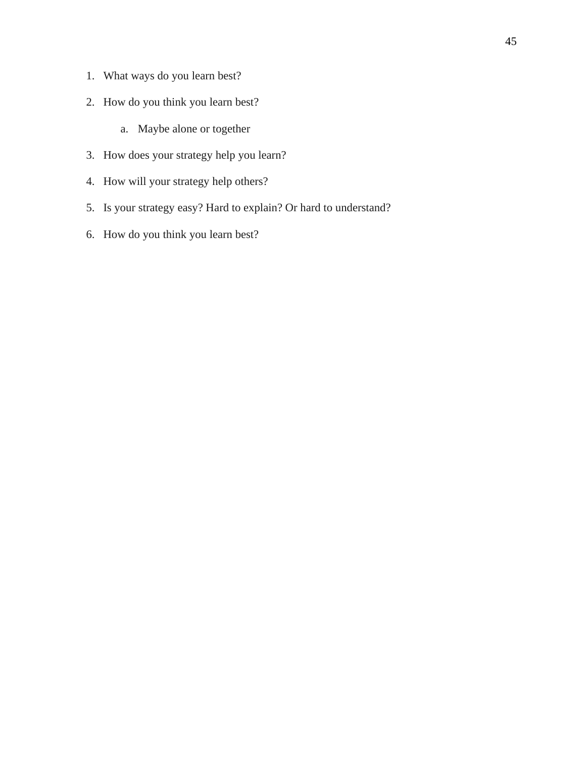- 1. What ways do you learn best?
- 2. How do you think you learn best?
	- a. Maybe alone or together
- 3. How does your strategy help you learn?
- 4. How will your strategy help others?
- 5. Is your strategy easy? Hard to explain? Or hard to understand?
- 6. How do you think you learn best?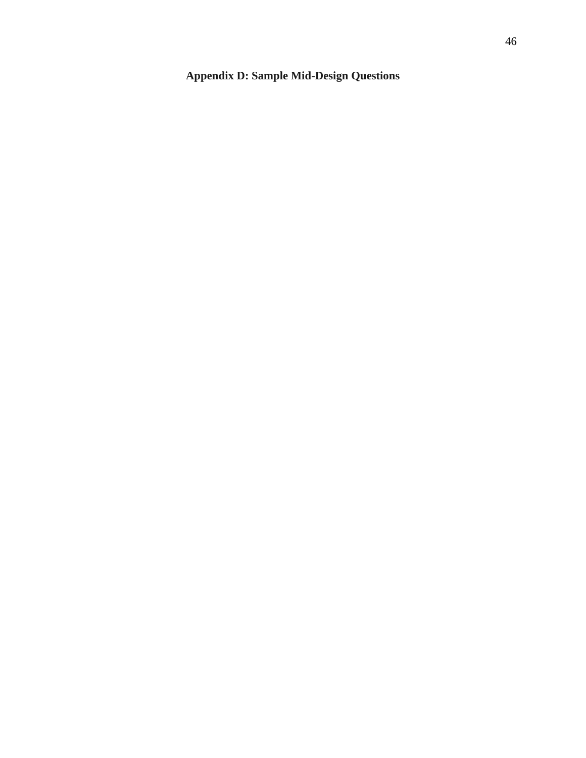## <span id="page-54-0"></span>**Appendix D: Sample Mid-Design Questions**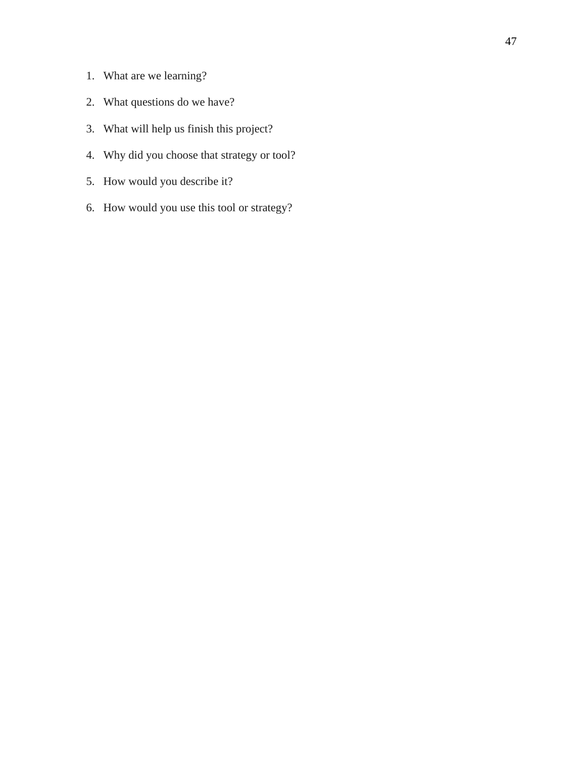- 1. What are we learning?
- 2. What questions do we have?
- 3. What will help us finish this project?
- 4. Why did you choose that strategy or tool?
- 5. How would you describe it?
- 6. How would you use this tool or strategy?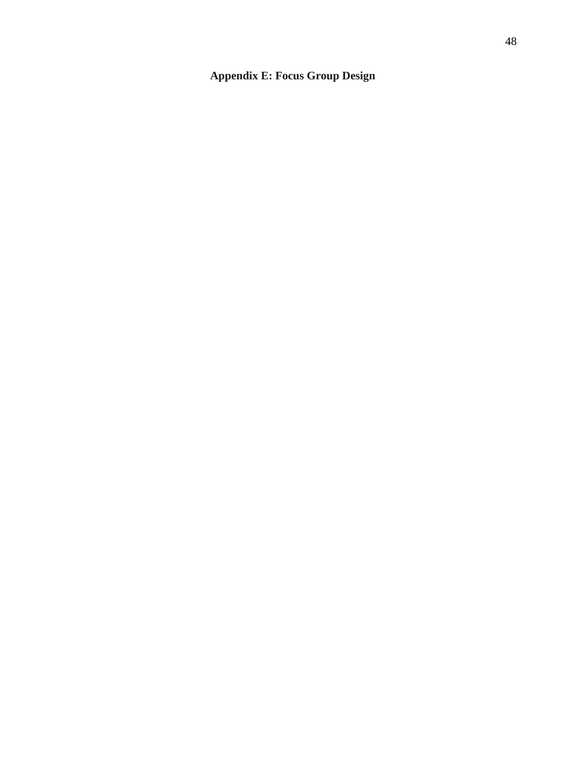## <span id="page-56-0"></span>**Appendix E: Focus Group Design**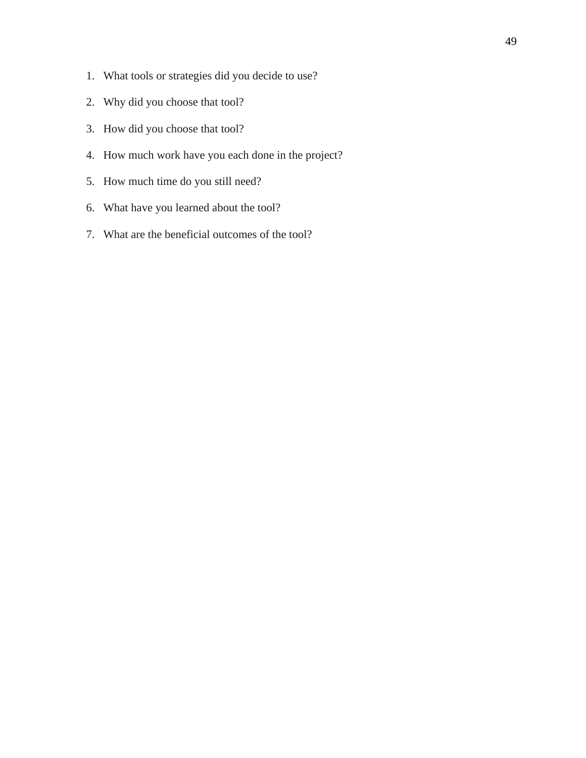- 1. What tools or strategies did you decide to use?
- 2. Why did you choose that tool?
- 3. How did you choose that tool?
- 4. How much work have you each done in the project?
- 5. How much time do you still need?
- 6. What have you learned about the tool?
- 7. What are the beneficial outcomes of the tool?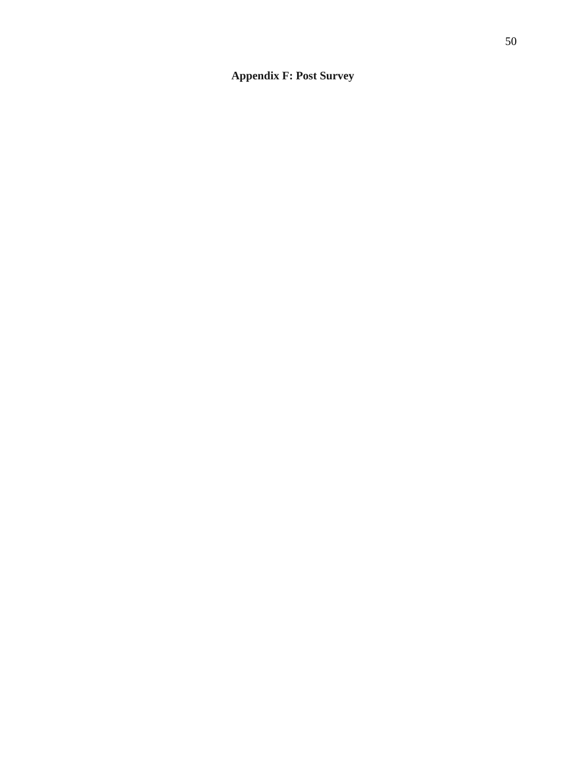## <span id="page-58-0"></span>**Appendix F: Post Survey**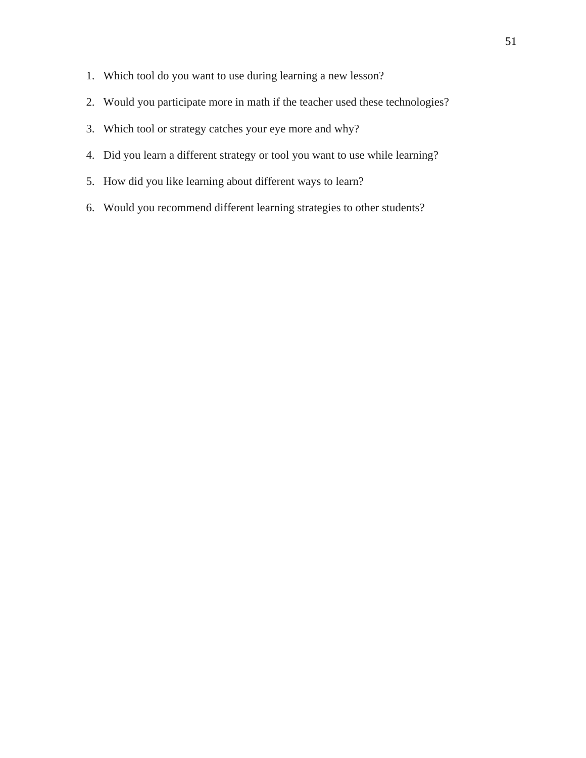- 1. Which tool do you want to use during learning a new lesson?
- 2. Would you participate more in math if the teacher used these technologies?
- 3. Which tool or strategy catches your eye more and why?
- 4. Did you learn a different strategy or tool you want to use while learning?
- 5. How did you like learning about different ways to learn?
- 6. Would you recommend different learning strategies to other students?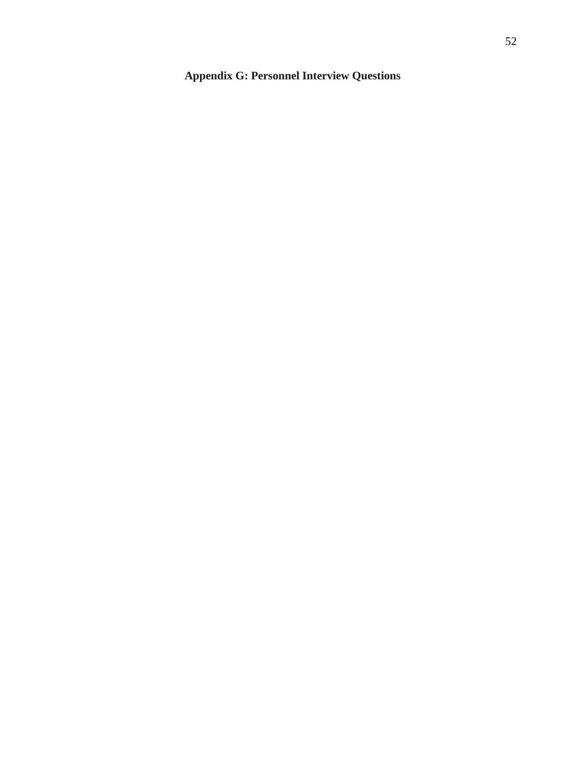## <span id="page-60-0"></span>**Appendix G: Personnel Interview Questions**